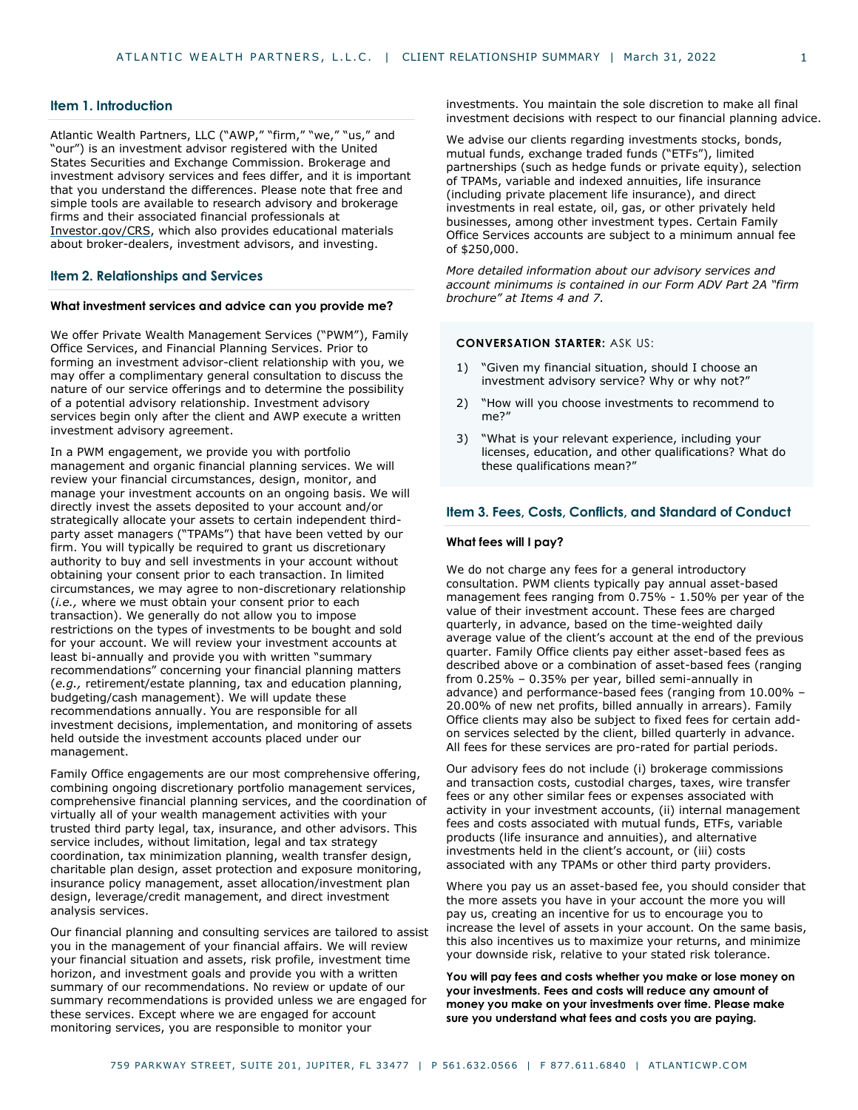### **Item 1. Introduction**

Atlantic Wealth Partners, LLC ("AWP," "firm," "we," "us," and "our") is an investment advisor registered with the United States Securities and Exchange Commission. Brokerage and investment advisory services and fees differ, and it is important that you understand the differences. Please note that free and simple tools are available to research advisory and brokerage firms and their associated financial professionals at [Investor.gov/CRS,](http://www.investor.gov/CRS) which also provides educational materials about broker-dealers, investment advisors, and investing.

### **Item 2. Relationships and Services**

### **What investment services and advice can you provide me?**

We offer Private Wealth Management Services ("PWM"), Family Office Services, and Financial Planning Services. Prior to forming an investment advisor-client relationship with you, we may offer a complimentary general consultation to discuss the nature of our service offerings and to determine the possibility of a potential advisory relationship. Investment advisory services begin only after the client and AWP execute a written investment advisory agreement.

In a PWM engagement, we provide you with portfolio management and organic financial planning services. We will review your financial circumstances, design, monitor, and manage your investment accounts on an ongoing basis. We will directly invest the assets deposited to your account and/or strategically allocate your assets to certain independent thirdparty asset managers ("TPAMs") that have been vetted by our firm. You will typically be required to grant us discretionary authority to buy and sell investments in your account without obtaining your consent prior to each transaction. In limited circumstances, we may agree to non-discretionary relationship (*i.e.,* where we must obtain your consent prior to each transaction). We generally do not allow you to impose restrictions on the types of investments to be bought and sold for your account. We will review your investment accounts at least bi-annually and provide you with written "summary recommendations" concerning your financial planning matters (*e.g.,* retirement/estate planning, tax and education planning, budgeting/cash management). We will update these recommendations annually. You are responsible for all investment decisions, implementation, and monitoring of assets held outside the investment accounts placed under our management.

Family Office engagements are our most comprehensive offering, combining ongoing discretionary portfolio management services, comprehensive financial planning services, and the coordination of virtually all of your wealth management activities with your trusted third party legal, tax, insurance, and other advisors. This service includes, without limitation, legal and tax strategy coordination, tax minimization planning, wealth transfer design, charitable plan design, asset protection and exposure monitoring, insurance policy management, asset allocation/investment plan design, leverage/credit management, and direct investment analysis services.

Our financial planning and consulting services are tailored to assist you in the management of your financial affairs. We will review your financial situation and assets, risk profile, investment time horizon, and investment goals and provide you with a written summary of our recommendations. No review or update of our summary recommendations is provided unless we are engaged for these services. Except where we are engaged for account monitoring services, you are responsible to monitor your

investments. You maintain the sole discretion to make all final investment decisions with respect to our financial planning advice.

We advise our clients regarding investments stocks, bonds, mutual funds, exchange traded funds ("ETFs"), limited partnerships (such as hedge funds or private equity), selection of TPAMs, variable and indexed annuities, life insurance (including private placement life insurance), and direct investments in real estate, oil, gas, or other privately held businesses, among other investment types. Certain Family Office Services accounts are subject to a minimum annual fee of \$250,000.

*More detailed information about our advisory services and account minimums is contained in our Form ADV Part 2A "firm brochure" at Items 4 and 7.* 

### **CONVERSATION STARTER:** ASK US:

- 1) "Given my financial situation, should I choose an investment advisory service? Why or why not?"
- 2) "How will you choose investments to recommend to me?"
- 3) "What is your relevant experience, including your licenses, education, and other qualifications? What do these qualifications mean?"

### **Item 3. Fees, Costs, Conflicts, and Standard of Conduct**

### **What fees will I pay?**

We do not charge any fees for a general introductory consultation. PWM clients typically pay annual asset-based management fees ranging from 0.75% - 1.50% per year of the value of their investment account. These fees are charged quarterly, in advance, based on the time-weighted daily average value of the client's account at the end of the previous quarter. Family Office clients pay either asset-based fees as described above or a combination of asset-based fees (ranging from 0.25% – 0.35% per year, billed semi-annually in advance) and performance-based fees (ranging from 10.00% – 20.00% of new net profits, billed annually in arrears). Family Office clients may also be subject to fixed fees for certain addon services selected by the client, billed quarterly in advance. All fees for these services are pro-rated for partial periods.

Our advisory fees do not include (i) brokerage commissions and transaction costs, custodial charges, taxes, wire transfer fees or any other similar fees or expenses associated with activity in your investment accounts, (ii) internal management fees and costs associated with mutual funds, ETFs, variable products (life insurance and annuities), and alternative investments held in the client's account, or (iii) costs associated with any TPAMs or other third party providers.

Where you pay us an asset-based fee, you should consider that the more assets you have in your account the more you will pay us, creating an incentive for us to encourage you to increase the level of assets in your account. On the same basis, this also incentives us to maximize your returns, and minimize your downside risk, relative to your stated risk tolerance.

**You will pay fees and costs whether you make or lose money on your investments. Fees and costs will reduce any amount of money you make on your investments over time. Please make sure you understand what fees and costs you are paying.**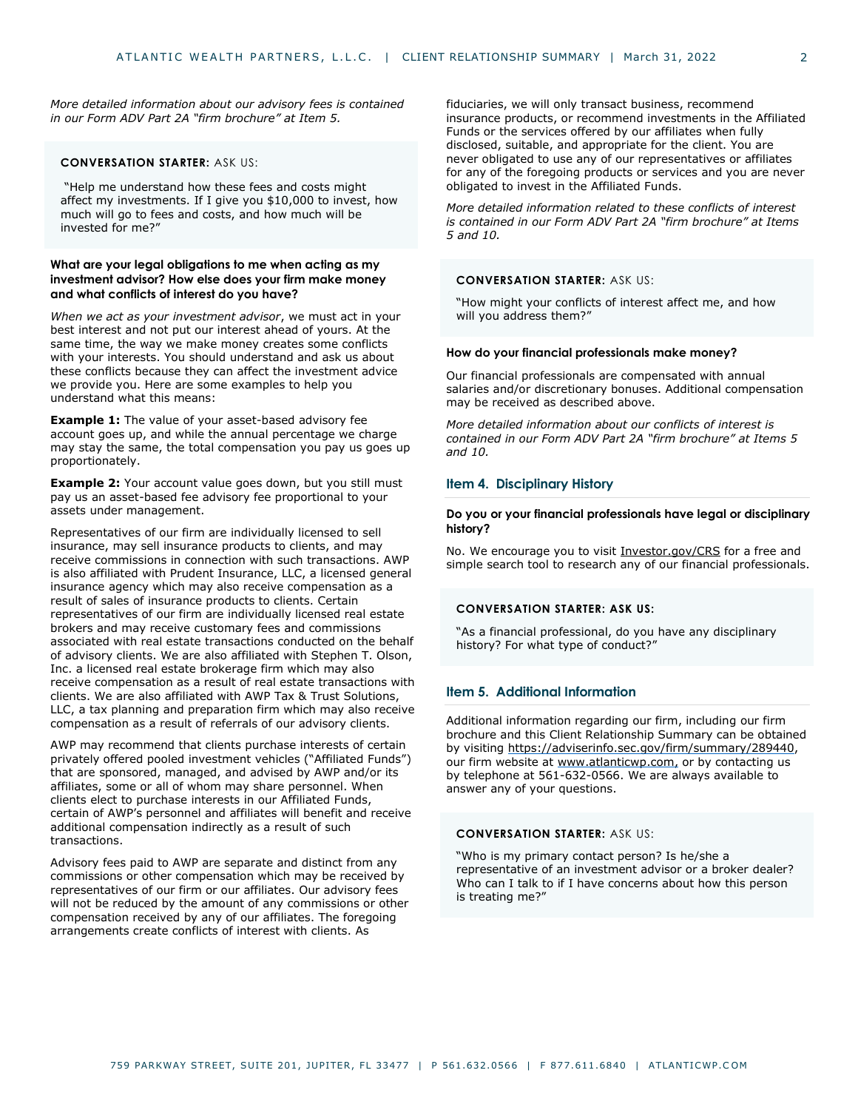*More detailed information about our advisory fees is contained in our Form ADV Part 2A "firm brochure" at Item 5.* 

# **CONVERSATION STARTER:** ASK US:

"Help me understand how these fees and costs might affect my investments. If I give you \$10,000 to invest, how much will go to fees and costs, and how much will be invested for me?"

## **What are your legal obligations to me when acting as my investment advisor? How else does your firm make money and what conflicts of interest do you have?**

*When we act as your investment advisor*, we must act in your best interest and not put our interest ahead of yours. At the same time, the way we make money creates some conflicts with your interests. You should understand and ask us about these conflicts because they can affect the investment advice we provide you. Here are some examples to help you understand what this means:

**Example 1:** The value of your asset-based advisory fee account goes up, and while the annual percentage we charge may stay the same, the total compensation you pay us goes up proportionately.

**Example 2:** Your account value goes down, but you still must pay us an asset-based fee advisory fee proportional to your assets under management.

Representatives of our firm are individually licensed to sell insurance, may sell insurance products to clients, and may receive commissions in connection with such transactions. AWP is also affiliated with Prudent Insurance, LLC, a licensed general insurance agency which may also receive compensation as a result of sales of insurance products to clients. Certain representatives of our firm are individually licensed real estate brokers and may receive customary fees and commissions associated with real estate transactions conducted on the behalf of advisory clients. We are also affiliated with Stephen T. Olson, Inc. a licensed real estate brokerage firm which may also receive compensation as a result of real estate transactions with clients. We are also affiliated with AWP Tax & Trust Solutions, LLC, a tax planning and preparation firm which may also receive compensation as a result of referrals of our advisory clients.

AWP may recommend that clients purchase interests of certain privately offered pooled investment vehicles ("Affiliated Funds") that are sponsored, managed, and advised by AWP and/or its affiliates, some or all of whom may share personnel. When clients elect to purchase interests in our Affiliated Funds, certain of AWP's personnel and affiliates will benefit and receive additional compensation indirectly as a result of such transactions.

Advisory fees paid to AWP are separate and distinct from any commissions or other compensation which may be received by representatives of our firm or our affiliates. Our advisory fees will not be reduced by the amount of any commissions or other compensation received by any of our affiliates. The foregoing arrangements create conflicts of interest with clients. As

fiduciaries, we will only transact business, recommend insurance products, or recommend investments in the Affiliated Funds or the services offered by our affiliates when fully disclosed, suitable, and appropriate for the client. You are never obligated to use any of our representatives or affiliates for any of the foregoing products or services and you are never obligated to invest in the Affiliated Funds.

*More detailed information related to these conflicts of interest is contained in our Form ADV Part 2A "firm brochure" at Items 5 and 10.* 

## **CONVERSATION STARTER:** ASK US:

"How might your conflicts of interest affect me, and how will you address them?"

# **How do your financial professionals make money?**

Our financial professionals are compensated with annual salaries and/or discretionary bonuses. Additional compensation may be received as described above.

*More detailed information about our conflicts of interest is contained in our Form ADV Part 2A "firm brochure" at Items 5 and 10.* 

# **Item 4. Disciplinary History**

### **Do you or your financial professionals have legal or disciplinary history?**

No. We encourage you to visit [Investor.gov/CRS](http://www.investor.gov/CRS) for a free and simple search tool to research any of our financial professionals.

### **CONVERSATION STARTER: ASK US:**

"As a financial professional, do you have any disciplinary history? For what type of conduct?"

# **Item 5. Additional Information**

Additional information regarding our firm, including our firm brochure and this Client Relationship Summary can be obtained by visiti[ng https://adviserinfo.sec.gov/firm/summary/289440,](https://adviserinfo.sec.gov/firm/summary/289440) our firm website [at www.atlanticwp.com,](http://www.atlanticwealthpartners.com/) or by contacting us by telephone at 561-632-0566. We are always available to answer any of your questions.

## **CONVERSATION STARTER:** ASK US:

"Who is my primary contact person? Is he/she a representative of an investment advisor or a broker dealer? Who can I talk to if I have concerns about how this person is treating me?"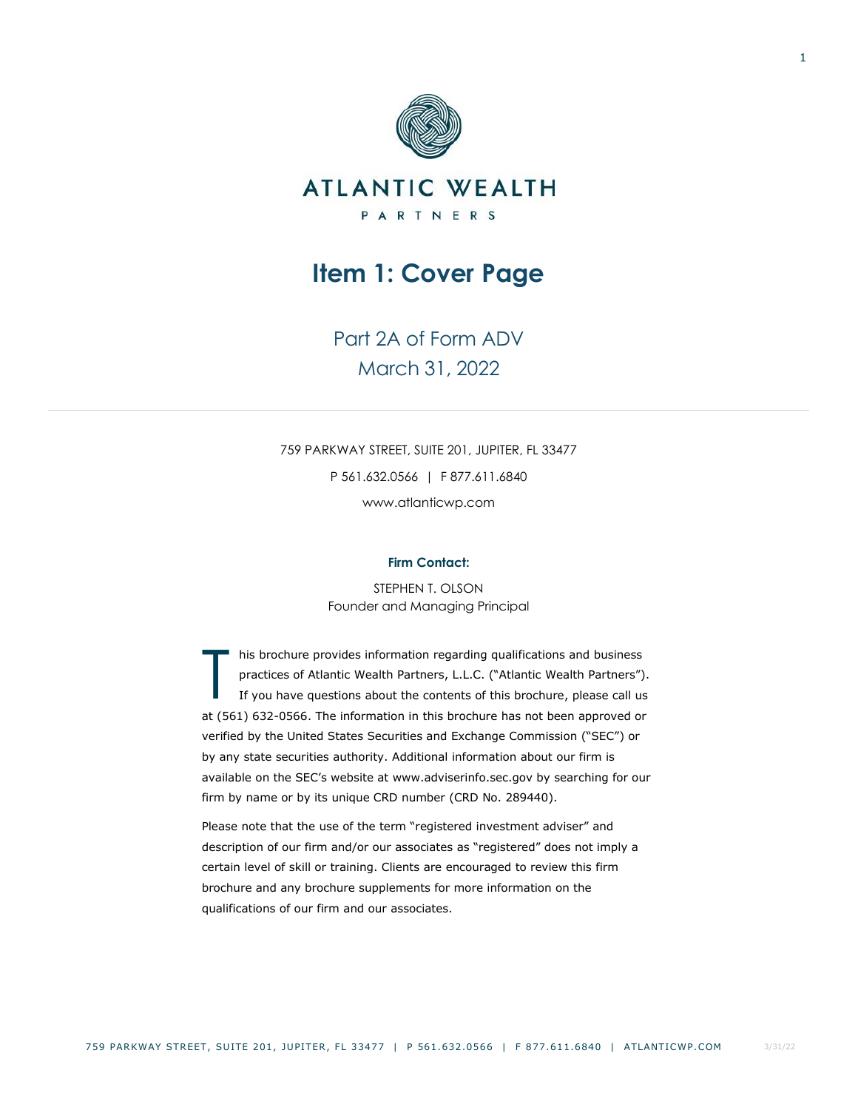<span id="page-2-0"></span>

Part 2A of Form ADV March 31, 2022

759 PARKWAY STREET, SUITE 201, JUPITER, FL 33477 P 561.632.0566 | F 877.611.6840

www.atlanticwp.com

# **Firm Contact:**

STEPHEN T. OLSON Founder and Managing Principal

his brochure provides information regarding qualifications and business practices of Atlantic Wealth Partners, L.L.C. ("Atlantic Wealth Partners"). If you have questions about the contents of this brochure, please call us at (561) 632-0566. The information in this brochure has not been approved or verified by the United States Securities and Exchange Commission ("SEC") or by any state securities authority. Additional information about our firm is available on the SEC's website at www.adviserinfo.sec.gov by searching for our firm by name or by its unique CRD number (CRD No. 289440). T

<span id="page-2-1"></span>Please note that the use of the term "registered investment adviser" and description of our firm and/or our associates as "registered" does not imply a certain level of skill or training. Clients are encouraged to review this firm brochure and any brochure supplements for more information on the qualifications of our firm and our associates.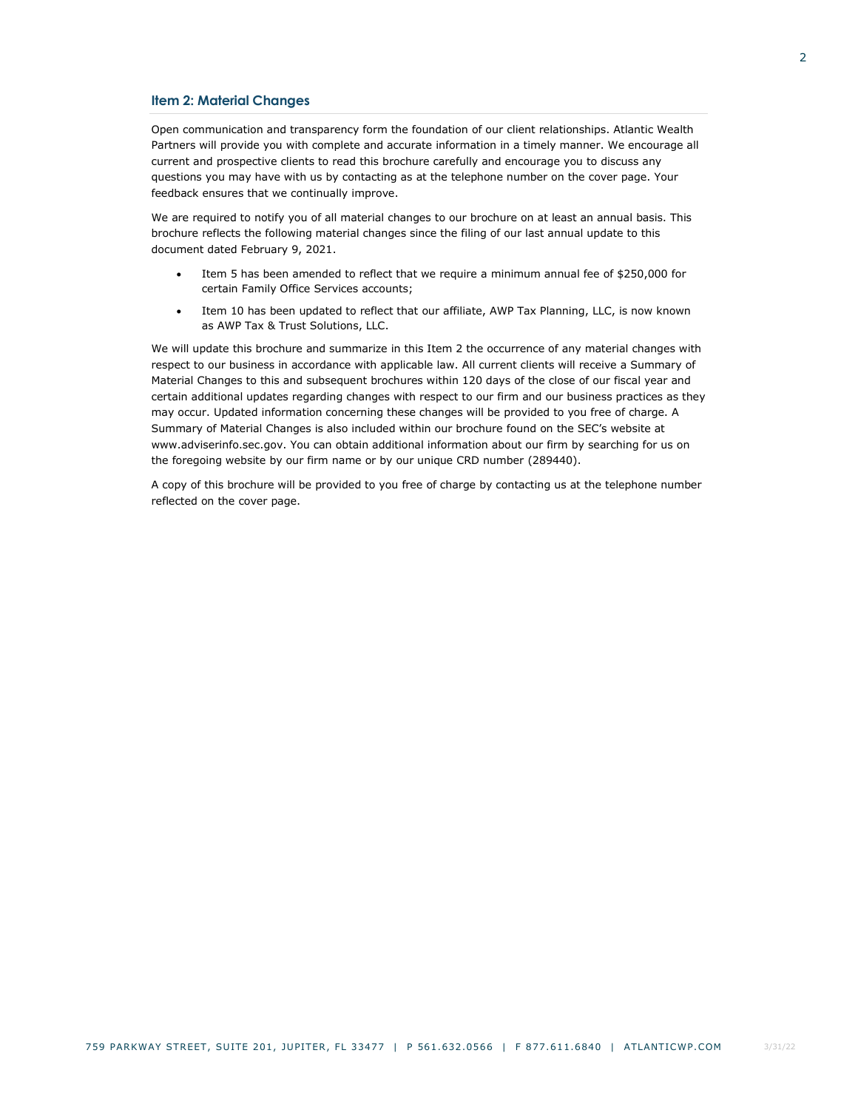## **Item 2: Material Changes**

Open communication and transparency form the foundation of our client relationships. Atlantic Wealth Partners will provide you with complete and accurate information in a timely manner. We encourage all current and prospective clients to read this brochure carefully and encourage you to discuss any questions you may have with us by contacting as at the telephone number on the cover page. Your feedback ensures that we continually improve.

We are required to notify you of all material changes to our brochure on at least an annual basis. This brochure reflects the following material changes since the filing of our last annual update to this document dated February 9, 2021.

- Item 5 has been amended to reflect that we require a minimum annual fee of \$250,000 for certain Family Office Services accounts;
- Item 10 has been updated to reflect that our affiliate, AWP Tax Planning, LLC, is now known as AWP Tax & Trust Solutions, LLC.

We will update this brochure and summarize in this Item 2 the occurrence of any material changes with respect to our business in accordance with applicable law. All current clients will receive a Summary of Material Changes to this and subsequent brochures within 120 days of the close of our fiscal year and certain additional updates regarding changes with respect to our firm and our business practices as they may occur. Updated information concerning these changes will be provided to you free of charge. A Summary of Material Changes is also included within our brochure found on the SEC's website at www.adviserinfo.sec.gov. You can obtain additional information about our firm by searching for us on the foregoing website by our firm name or by our unique CRD number (289440).

A copy of this brochure will be provided to you free of charge by contacting us at the telephone number reflected on the cover page.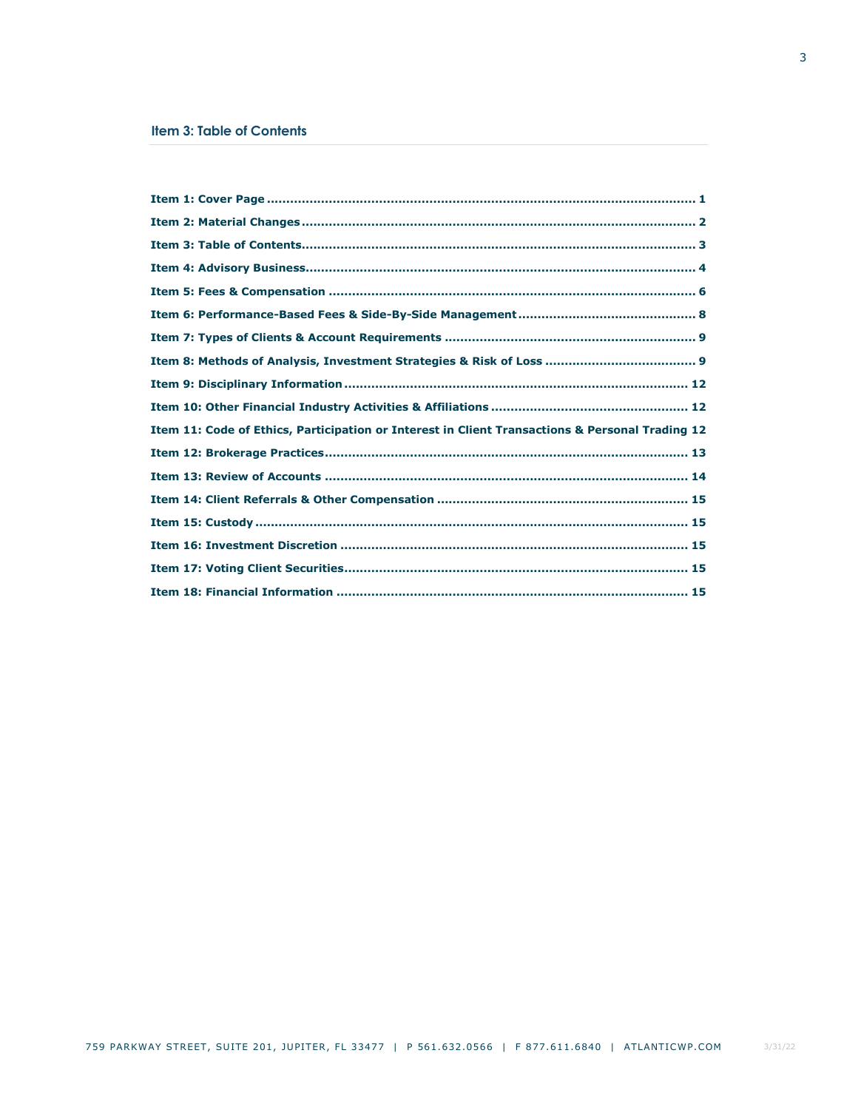<span id="page-4-0"></span>

| Item 11: Code of Ethics, Participation or Interest in Client Transactions & Personal Trading 12 |  |
|-------------------------------------------------------------------------------------------------|--|
|                                                                                                 |  |
|                                                                                                 |  |
|                                                                                                 |  |
|                                                                                                 |  |
|                                                                                                 |  |
|                                                                                                 |  |
|                                                                                                 |  |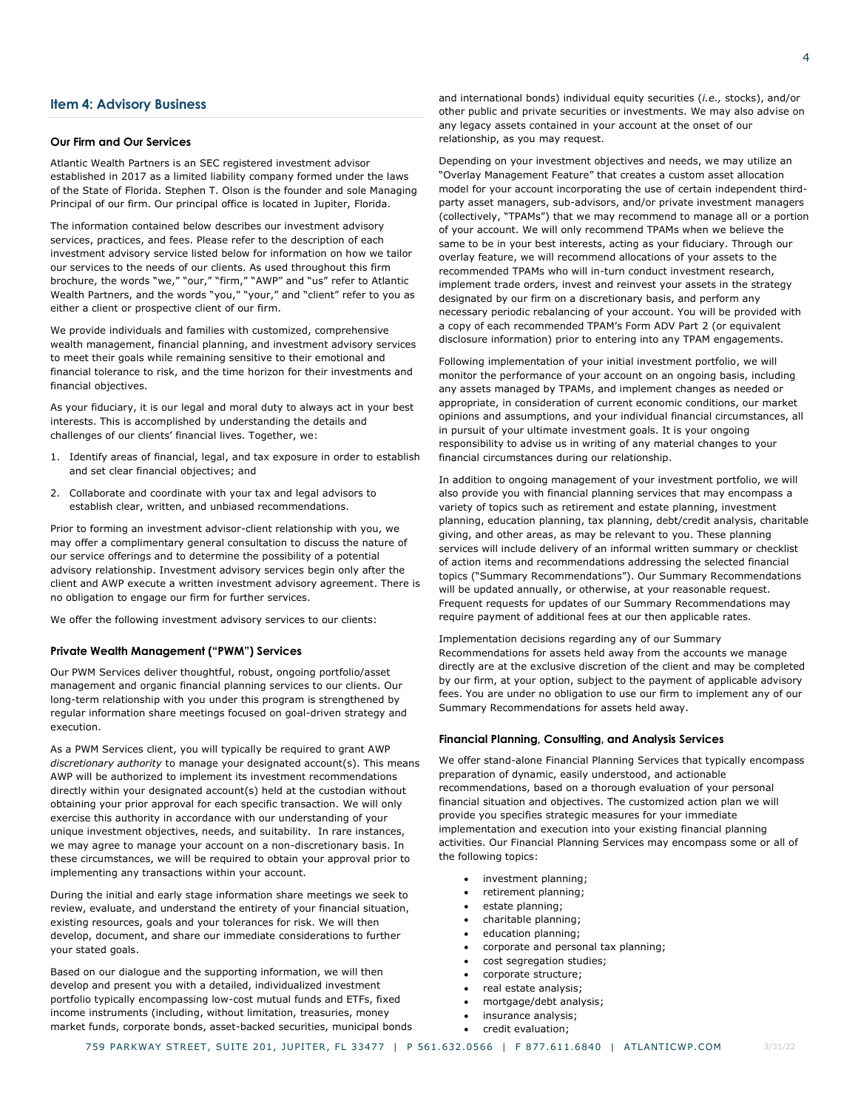# <span id="page-5-0"></span>**Item 4: Advisory Business**

### **Our Firm and Our Services**

Atlantic Wealth Partners is an SEC registered investment advisor established in 2017 as a limited liability company formed under the laws of the State of Florida. Stephen T. Olson is the founder and sole Managing Principal of our firm. Our principal office is located in Jupiter, Florida.

The information contained below describes our investment advisory services, practices, and fees. Please refer to the description of each investment advisory service listed below for information on how we tailor our services to the needs of our clients. As used throughout this firm brochure, the words "we," "our," "firm," "AWP" and "us" refer to Atlantic Wealth Partners, and the words "you," "your," and "client" refer to you as either a client or prospective client of our firm.

We provide individuals and families with customized, comprehensive wealth management, financial planning, and investment advisory services to meet their goals while remaining sensitive to their emotional and financial tolerance to risk, and the time horizon for their investments and financial objectives.

As your fiduciary, it is our legal and moral duty to always act in your best interests. This is accomplished by understanding the details and challenges of our clients' financial lives. Together, we:

- 1. Identify areas of financial, legal, and tax exposure in order to establish and set clear financial objectives; and
- 2. Collaborate and coordinate with your tax and legal advisors to establish clear, written, and unbiased recommendations.

Prior to forming an investment advisor-client relationship with you, we may offer a complimentary general consultation to discuss the nature of our service offerings and to determine the possibility of a potential advisory relationship. Investment advisory services begin only after the client and AWP execute a written investment advisory agreement. There is no obligation to engage our firm for further services.

We offer the following investment advisory services to our clients:

### **Private Wealth Management ("PWM") Services**

Our PWM Services deliver thoughtful, robust, ongoing portfolio/asset management and organic financial planning services to our clients. Our long-term relationship with you under this program is strengthened by regular information share meetings focused on goal-driven strategy and execution.

As a PWM Services client, you will typically be required to grant AWP *discretionary authority* to manage your designated account(s). This means AWP will be authorized to implement its investment recommendations directly within your designated account(s) held at the custodian without obtaining your prior approval for each specific transaction. We will only exercise this authority in accordance with our understanding of your unique investment objectives, needs, and suitability. In rare instances, we may agree to manage your account on a non-discretionary basis. In these circumstances, we will be required to obtain your approval prior to implementing any transactions within your account.

During the initial and early stage information share meetings we seek to review, evaluate, and understand the entirety of your financial situation, existing resources, goals and your tolerances for risk. We will then develop, document, and share our immediate considerations to further your stated goals.

Based on our dialogue and the supporting information, we will then develop and present you with a detailed, individualized investment portfolio typically encompassing low-cost mutual funds and ETFs, fixed income instruments (including, without limitation, treasuries, money market funds, corporate bonds, asset-backed securities, municipal bonds and international bonds) individual equity securities (*i.e.,* stocks), and/or other public and private securities or investments. We may also advise on any legacy assets contained in your account at the onset of our relationship, as you may request.

Depending on your investment objectives and needs, we may utilize an "Overlay Management Feature" that creates a custom asset allocation model for your account incorporating the use of certain independent thirdparty asset managers, sub-advisors, and/or private investment managers (collectively, "TPAMs") that we may recommend to manage all or a portion of your account. We will only recommend TPAMs when we believe the same to be in your best interests, acting as your fiduciary. Through our overlay feature, we will recommend allocations of your assets to the recommended TPAMs who will in-turn conduct investment research, implement trade orders, invest and reinvest your assets in the strategy designated by our firm on a discretionary basis, and perform any necessary periodic rebalancing of your account. You will be provided with a copy of each recommended TPAM's Form ADV Part 2 (or equivalent disclosure information) prior to entering into any TPAM engagements.

Following implementation of your initial investment portfolio, we will monitor the performance of your account on an ongoing basis, including any assets managed by TPAMs, and implement changes as needed or appropriate, in consideration of current economic conditions, our market opinions and assumptions, and your individual financial circumstances, all in pursuit of your ultimate investment goals. It is your ongoing responsibility to advise us in writing of any material changes to your financial circumstances during our relationship.

In addition to ongoing management of your investment portfolio, we will also provide you with financial planning services that may encompass a variety of topics such as retirement and estate planning, investment planning, education planning, tax planning, debt/credit analysis, charitable giving, and other areas, as may be relevant to you. These planning services will include delivery of an informal written summary or checklist of action items and recommendations addressing the selected financial topics ("Summary Recommendations"). Our Summary Recommendations will be updated annually, or otherwise, at your reasonable request. Frequent requests for updates of our Summary Recommendations may require payment of additional fees at our then applicable rates.

Implementation decisions regarding any of our Summary Recommendations for assets held away from the accounts we manage directly are at the exclusive discretion of the client and may be completed by our firm, at your option, subject to the payment of applicable advisory fees. You are under no obligation to use our firm to implement any of our Summary Recommendations for assets held away.

### **Financial Planning, Consulting, and Analysis Services**

We offer stand-alone Financial Planning Services that typically encompass preparation of dynamic, easily understood, and actionable recommendations, based on a thorough evaluation of your personal financial situation and objectives. The customized action plan we will provide you specifies strategic measures for your immediate implementation and execution into your existing financial planning activities. Our Financial Planning Services may encompass some or all of the following topics:

- investment planning;
- retirement planning;
- estate planning;
- charitable planning;
- education planning;
- corporate and personal tax planning;
- cost segregation studies;
- corporate structure;
- real estate analysis;
- mortgage/debt analysis;
- insurance analysis;
- credit evaluation;

4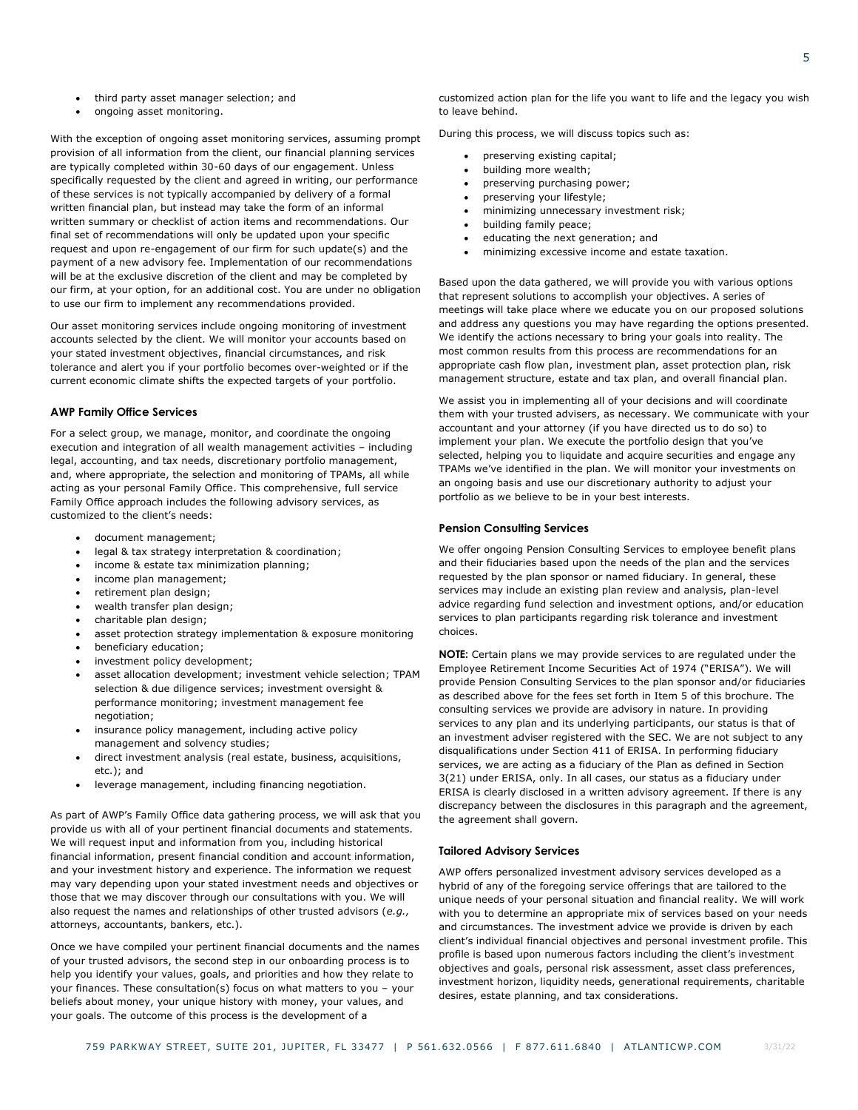- third party asset manager selection; and
- ongoing asset monitoring.

With the exception of ongoing asset monitoring services, assuming prompt provision of all information from the client, our financial planning services are typically completed within 30-60 days of our engagement. Unless specifically requested by the client and agreed in writing, our performance of these services is not typically accompanied by delivery of a formal written financial plan, but instead may take the form of an informal written summary or checklist of action items and recommendations. Our final set of recommendations will only be updated upon your specific request and upon re-engagement of our firm for such update(s) and the payment of a new advisory fee. Implementation of our recommendations will be at the exclusive discretion of the client and may be completed by our firm, at your option, for an additional cost. You are under no obligation to use our firm to implement any recommendations provided.

Our asset monitoring services include ongoing monitoring of investment accounts selected by the client. We will monitor your accounts based on your stated investment objectives, financial circumstances, and risk tolerance and alert you if your portfolio becomes over-weighted or if the current economic climate shifts the expected targets of your portfolio.

### **AWP Family Office Services**

For a select group, we manage, monitor, and coordinate the ongoing execution and integration of all wealth management activities – including legal, accounting, and tax needs, discretionary portfolio management, and, where appropriate, the selection and monitoring of TPAMs, all while acting as your personal Family Office. This comprehensive, full service Family Office approach includes the following advisory services, as customized to the client's needs:

- document management;
- legal & tax strategy interpretation & coordination;
- income & estate tax minimization planning;
- income plan management;
- retirement plan design;
- wealth transfer plan design;
- charitable plan design;
- asset protection strategy implementation & exposure monitoring
- beneficiary education;
- investment policy development;
- asset allocation development; investment vehicle selection; TPAM selection & due diligence services; investment oversight & performance monitoring; investment management fee negotiation;
- insurance policy management, including active policy management and solvency studies;
- direct investment analysis (real estate, business, acquisitions, etc.); and
- leverage management, including financing negotiation.

As part of AWP's Family Office data gathering process, we will ask that you provide us with all of your pertinent financial documents and statements. We will request input and information from you, including historical financial information, present financial condition and account information, and your investment history and experience. The information we request may vary depending upon your stated investment needs and objectives or those that we may discover through our consultations with you. We will also request the names and relationships of other trusted advisors (*e.g.,* attorneys, accountants, bankers, etc.).

Once we have compiled your pertinent financial documents and the names of your trusted advisors, the second step in our onboarding process is to help you identify your values, goals, and priorities and how they relate to your finances. These consultation(s) focus on what matters to you – your beliefs about money, your unique history with money, your values, and your goals. The outcome of this process is the development of a

customized action plan for the life you want to life and the legacy you wish to leave behind.

During this process, we will discuss topics such as:

- preserving existing capital;
- building more wealth;
- preserving purchasing power;
- preserving your lifestyle;
- minimizing unnecessary investment risk;
- building family peace;
- educating the next generation; and
- minimizing excessive income and estate taxation.

Based upon the data gathered, we will provide you with various options that represent solutions to accomplish your objectives. A series of meetings will take place where we educate you on our proposed solutions and address any questions you may have regarding the options presented. We identify the actions necessary to bring your goals into reality. The most common results from this process are recommendations for an appropriate cash flow plan, investment plan, asset protection plan, risk management structure, estate and tax plan, and overall financial plan.

We assist you in implementing all of your decisions and will coordinate them with your trusted advisers, as necessary. We communicate with your accountant and your attorney (if you have directed us to do so) to implement your plan. We execute the portfolio design that you've selected, helping you to liquidate and acquire securities and engage any TPAMs we've identified in the plan. We will monitor your investments on an ongoing basis and use our discretionary authority to adjust your portfolio as we believe to be in your best interests.

### **Pension Consulting Services**

We offer ongoing Pension Consulting Services to employee benefit plans and their fiduciaries based upon the needs of the plan and the services requested by the plan sponsor or named fiduciary. In general, these services may include an existing plan review and analysis, plan-level advice regarding fund selection and investment options, and/or education services to plan participants regarding risk tolerance and investment choices.

**NOTE:** Certain plans we may provide services to are regulated under the Employee Retirement Income Securities Act of 1974 ("ERISA"). We will provide Pension Consulting Services to the plan sponsor and/or fiduciaries as described above for the fees set forth in Item 5 of this brochure. The consulting services we provide are advisory in nature. In providing services to any plan and its underlying participants, our status is that of an investment adviser registered with the SEC. We are not subject to any disqualifications under Section 411 of ERISA. In performing fiduciary services, we are acting as a fiduciary of the Plan as defined in Section 3(21) under ERISA, only. In all cases, our status as a fiduciary under ERISA is clearly disclosed in a written advisory agreement. If there is any discrepancy between the disclosures in this paragraph and the agreement, the agreement shall govern.

### **Tailored Advisory Services**

AWP offers personalized investment advisory services developed as a hybrid of any of the foregoing service offerings that are tailored to the unique needs of your personal situation and financial reality. We will work with you to determine an appropriate mix of services based on your needs and circumstances. The investment advice we provide is driven by each client's individual financial objectives and personal investment profile. This profile is based upon numerous factors including the client's investment objectives and goals, personal risk assessment, asset class preferences, investment horizon, liquidity needs, generational requirements, charitable desires, estate planning, and tax considerations.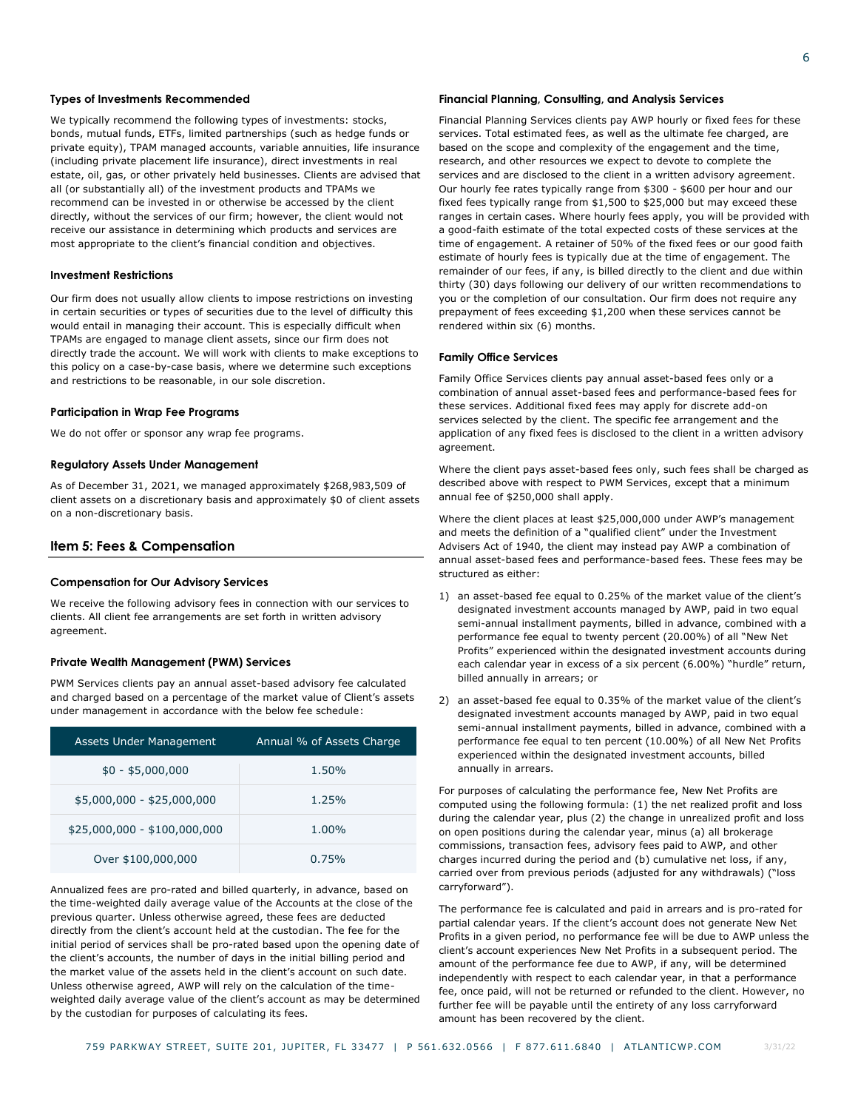### **Types of Investments Recommended**

We typically recommend the following types of investments: stocks, bonds, mutual funds, ETFs, limited partnerships (such as hedge funds or private equity), TPAM managed accounts, variable annuities, life insurance (including private placement life insurance), direct investments in real estate, oil, gas, or other privately held businesses. Clients are advised that all (or substantially all) of the investment products and TPAMs we recommend can be invested in or otherwise be accessed by the client directly, without the services of our firm; however, the client would not receive our assistance in determining which products and services are most appropriate to the client's financial condition and objectives.

### **Investment Restrictions**

Our firm does not usually allow clients to impose restrictions on investing in certain securities or types of securities due to the level of difficulty this would entail in managing their account. This is especially difficult when TPAMs are engaged to manage client assets, since our firm does not directly trade the account. We will work with clients to make exceptions to this policy on a case-by-case basis, where we determine such exceptions and restrictions to be reasonable, in our sole discretion.

### **Participation in Wrap Fee Programs**

We do not offer or sponsor any wrap fee programs.

### **Regulatory Assets Under Management**

As of December 31, 2021, we managed approximately \$268,983,509 of client assets on a discretionary basis and approximately \$0 of client assets on a non-discretionary basis.

### <span id="page-7-0"></span>**Item 5: Fees & Compensation**

# **Compensation for Our Advisory Services**

We receive the following advisory fees in connection with our services to clients. All client fee arrangements are set forth in written advisory agreement.

### **Private Wealth Management (PWM) Services**

PWM Services clients pay an annual asset-based advisory fee calculated and charged based on a percentage of the market value of Client's assets under management in accordance with the below fee schedule:

| Assets Under Management      | Annual % of Assets Charge |
|------------------------------|---------------------------|
| $$0 - $5,000,000$            | 1.50%                     |
| $$5,000,000 - $25,000,000$   | 1.25%                     |
| $$25,000,000 - $100,000,000$ | $1.00\%$                  |
| Over \$100,000,000           | 0.75%                     |

Annualized fees are pro-rated and billed quarterly, in advance, based on the time-weighted daily average value of the Accounts at the close of the previous quarter. Unless otherwise agreed, these fees are deducted directly from the client's account held at the custodian. The fee for the initial period of services shall be pro-rated based upon the opening date of the client's accounts, the number of days in the initial billing period and the market value of the assets held in the client's account on such date. Unless otherwise agreed, AWP will rely on the calculation of the timeweighted daily average value of the client's account as may be determined by the custodian for purposes of calculating its fees.

### **Financial Planning, Consulting, and Analysis Services**

Financial Planning Services clients pay AWP hourly or fixed fees for these services. Total estimated fees, as well as the ultimate fee charged, are based on the scope and complexity of the engagement and the time, research, and other resources we expect to devote to complete the services and are disclosed to the client in a written advisory agreement. Our hourly fee rates typically range from \$300 - \$600 per hour and our fixed fees typically range from \$1,500 to \$25,000 but may exceed these ranges in certain cases. Where hourly fees apply, you will be provided with a good-faith estimate of the total expected costs of these services at the time of engagement. A retainer of 50% of the fixed fees or our good faith estimate of hourly fees is typically due at the time of engagement. The remainder of our fees, if any, is billed directly to the client and due within thirty (30) days following our delivery of our written recommendations to you or the completion of our consultation. Our firm does not require any prepayment of fees exceeding \$1,200 when these services cannot be rendered within six (6) months.

#### **Family Office Services**

Family Office Services clients pay annual asset-based fees only or a combination of annual asset-based fees and performance-based fees for these services. Additional fixed fees may apply for discrete add-on services selected by the client. The specific fee arrangement and the application of any fixed fees is disclosed to the client in a written advisory agreement.

Where the client pays asset-based fees only, such fees shall be charged as described above with respect to PWM Services, except that a minimum annual fee of \$250,000 shall apply.

Where the client places at least \$25,000,000 under AWP's management and meets the definition of a "qualified client" under the Investment Advisers Act of 1940, the client may instead pay AWP a combination of annual asset-based fees and performance-based fees. These fees may be structured as either:

- 1) an asset-based fee equal to 0.25% of the market value of the client's designated investment accounts managed by AWP, paid in two equal semi-annual installment payments, billed in advance, combined with a performance fee equal to twenty percent (20.00%) of all "New Net Profits" experienced within the designated investment accounts during each calendar year in excess of a six percent (6.00%) "hurdle" return, billed annually in arrears; or
- 2) an asset-based fee equal to 0.35% of the market value of the client's designated investment accounts managed by AWP, paid in two equal semi-annual installment payments, billed in advance, combined with a performance fee equal to ten percent (10.00%) of all New Net Profits experienced within the designated investment accounts, billed annually in arrears.

For purposes of calculating the performance fee, New Net Profits are computed using the following formula: (1) the net realized profit and loss during the calendar year, plus (2) the change in unrealized profit and loss on open positions during the calendar year, minus (a) all brokerage commissions, transaction fees, advisory fees paid to AWP, and other charges incurred during the period and (b) cumulative net loss, if any, carried over from previous periods (adjusted for any withdrawals) ("loss carryforward").

The performance fee is calculated and paid in arrears and is pro-rated for partial calendar years. If the client's account does not generate New Net Profits in a given period, no performance fee will be due to AWP unless the client's account experiences New Net Profits in a subsequent period. The amount of the performance fee due to AWP, if any, will be determined independently with respect to each calendar year, in that a performance fee, once paid, will not be returned or refunded to the client. However, no further fee will be payable until the entirety of any loss carryforward amount has been recovered by the client.

3/31/22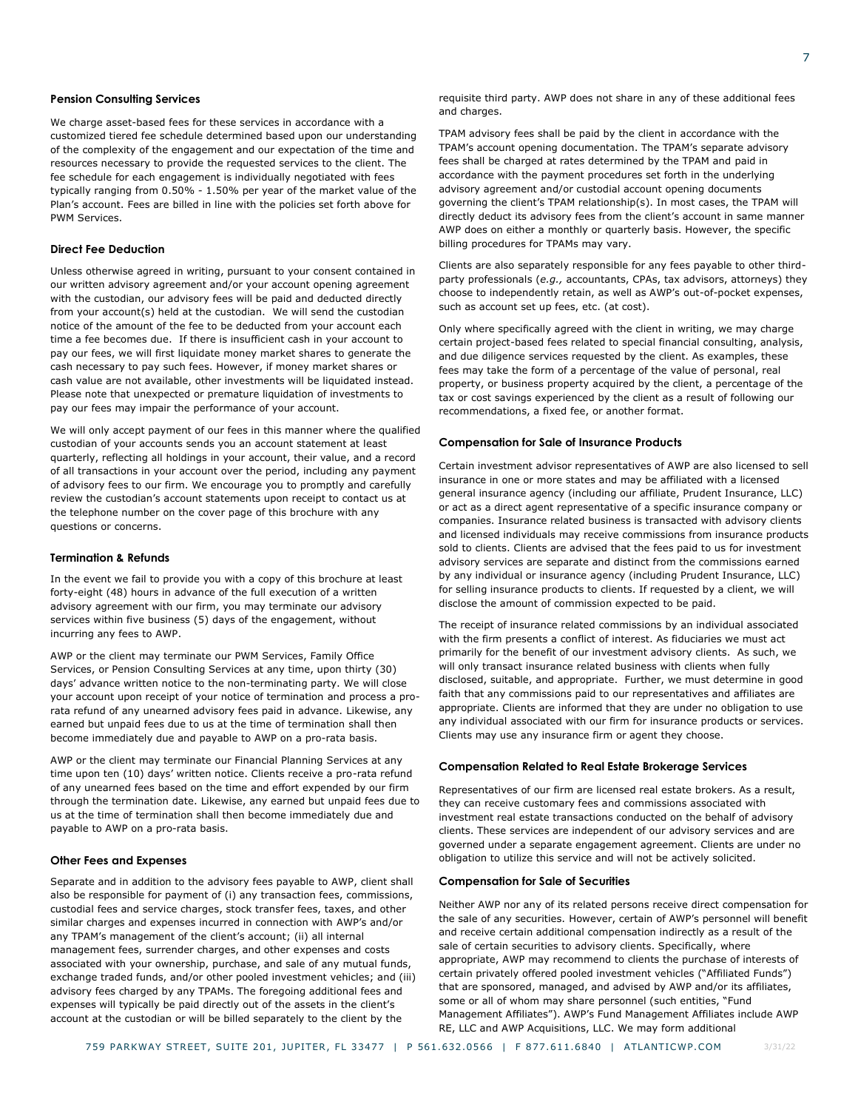### **Pension Consulting Services**

We charge asset-based fees for these services in accordance with a customized tiered fee schedule determined based upon our understanding of the complexity of the engagement and our expectation of the time and resources necessary to provide the requested services to the client. The fee schedule for each engagement is individually negotiated with fees typically ranging from 0.50% - 1.50% per year of the market value of the Plan's account. Fees are billed in line with the policies set forth above for PWM Services.

### **Direct Fee Deduction**

Unless otherwise agreed in writing, pursuant to your consent contained in our written advisory agreement and/or your account opening agreement with the custodian, our advisory fees will be paid and deducted directly from your account(s) held at the custodian. We will send the custodian notice of the amount of the fee to be deducted from your account each time a fee becomes due. If there is insufficient cash in your account to pay our fees, we will first liquidate money market shares to generate the cash necessary to pay such fees. However, if money market shares or cash value are not available, other investments will be liquidated instead. Please note that unexpected or premature liquidation of investments to pay our fees may impair the performance of your account.

We will only accept payment of our fees in this manner where the qualified custodian of your accounts sends you an account statement at least quarterly, reflecting all holdings in your account, their value, and a record of all transactions in your account over the period, including any payment of advisory fees to our firm. We encourage you to promptly and carefully review the custodian's account statements upon receipt to contact us at the telephone number on the cover page of this brochure with any questions or concerns.

### **Termination & Refunds**

In the event we fail to provide you with a copy of this brochure at least forty-eight (48) hours in advance of the full execution of a written advisory agreement with our firm, you may terminate our advisory services within five business (5) days of the engagement, without incurring any fees to AWP.

AWP or the client may terminate our PWM Services, Family Office Services, or Pension Consulting Services at any time, upon thirty (30) days' advance written notice to the non-terminating party. We will close your account upon receipt of your notice of termination and process a prorata refund of any unearned advisory fees paid in advance. Likewise, any earned but unpaid fees due to us at the time of termination shall then become immediately due and payable to AWP on a pro-rata basis.

AWP or the client may terminate our Financial Planning Services at any time upon ten (10) days' written notice. Clients receive a pro-rata refund of any unearned fees based on the time and effort expended by our firm through the termination date. Likewise, any earned but unpaid fees due to us at the time of termination shall then become immediately due and payable to AWP on a pro-rata basis.

### **Other Fees and Expenses**

Separate and in addition to the advisory fees payable to AWP, client shall also be responsible for payment of (i) any transaction fees, commissions, custodial fees and service charges, stock transfer fees, taxes, and other similar charges and expenses incurred in connection with AWP's and/or any TPAM's management of the client's account; (ii) all internal management fees, surrender charges, and other expenses and costs associated with your ownership, purchase, and sale of any mutual funds, exchange traded funds, and/or other pooled investment vehicles; and (iii) advisory fees charged by any TPAMs. The foregoing additional fees and expenses will typically be paid directly out of the assets in the client's account at the custodian or will be billed separately to the client by the

requisite third party. AWP does not share in any of these additional fees and charges.

TPAM advisory fees shall be paid by the client in accordance with the TPAM's account opening documentation. The TPAM's separate advisory fees shall be charged at rates determined by the TPAM and paid in accordance with the payment procedures set forth in the underlying advisory agreement and/or custodial account opening documents governing the client's TPAM relationship(s). In most cases, the TPAM will directly deduct its advisory fees from the client's account in same manner AWP does on either a monthly or quarterly basis. However, the specific billing procedures for TPAMs may vary.

Clients are also separately responsible for any fees payable to other thirdparty professionals (*e.g.,* accountants, CPAs, tax advisors, attorneys) they choose to independently retain, as well as AWP's out-of-pocket expenses, such as account set up fees, etc. (at cost).

Only where specifically agreed with the client in writing, we may charge certain project-based fees related to special financial consulting, analysis, and due diligence services requested by the client. As examples, these fees may take the form of a percentage of the value of personal, real property, or business property acquired by the client, a percentage of the tax or cost savings experienced by the client as a result of following our recommendations, a fixed fee, or another format.

#### **Compensation for Sale of Insurance Products**

Certain investment advisor representatives of AWP are also licensed to sell insurance in one or more states and may be affiliated with a licensed general insurance agency (including our affiliate, Prudent Insurance, LLC) or act as a direct agent representative of a specific insurance company or companies. Insurance related business is transacted with advisory clients and licensed individuals may receive commissions from insurance products sold to clients. Clients are advised that the fees paid to us for investment advisory services are separate and distinct from the commissions earned by any individual or insurance agency (including Prudent Insurance, LLC) for selling insurance products to clients. If requested by a client, we will disclose the amount of commission expected to be paid.

The receipt of insurance related commissions by an individual associated with the firm presents a conflict of interest. As fiduciaries we must act primarily for the benefit of our investment advisory clients. As such, we will only transact insurance related business with clients when fully disclosed, suitable, and appropriate. Further, we must determine in good faith that any commissions paid to our representatives and affiliates are appropriate. Clients are informed that they are under no obligation to use any individual associated with our firm for insurance products or services. Clients may use any insurance firm or agent they choose.

### **Compensation Related to Real Estate Brokerage Services**

Representatives of our firm are licensed real estate brokers. As a result, they can receive customary fees and commissions associated with investment real estate transactions conducted on the behalf of advisory clients. These services are independent of our advisory services and are governed under a separate engagement agreement. Clients are under no obligation to utilize this service and will not be actively solicited.

### **Compensation for Sale of Securities**

Neither AWP nor any of its related persons receive direct compensation for the sale of any securities. However, certain of AWP's personnel will benefit and receive certain additional compensation indirectly as a result of the sale of certain securities to advisory clients. Specifically, where appropriate, AWP may recommend to clients the purchase of interests of certain privately offered pooled investment vehicles ("Affiliated Funds") that are sponsored, managed, and advised by AWP and/or its affiliates, some or all of whom may share personnel (such entities, "Fund Management Affiliates"). AWP's Fund Management Affiliates include AWP RE, LLC and AWP Acquisitions, LLC. We may form additional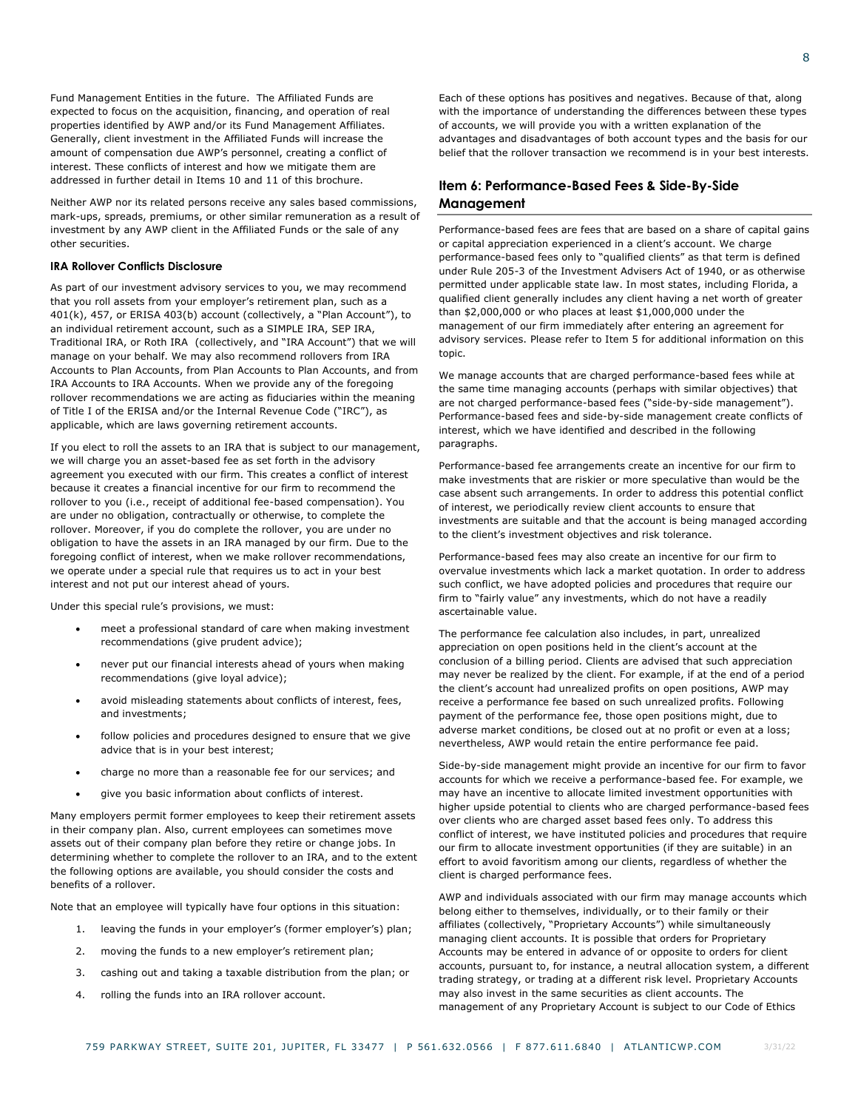Fund Management Entities in the future. The Affiliated Funds are expected to focus on the acquisition, financing, and operation of real properties identified by AWP and/or its Fund Management Affiliates. Generally, client investment in the Affiliated Funds will increase the amount of compensation due AWP's personnel, creating a conflict of interest. These conflicts of interest and how we mitigate them are addressed in further detail in Items 10 and 11 of this brochure.

Neither AWP nor its related persons receive any sales based commissions, mark-ups, spreads, premiums, or other similar remuneration as a result of investment by any AWP client in the Affiliated Funds or the sale of any other securities.

### **IRA Rollover Conflicts Disclosure**

As part of our investment advisory services to you, we may recommend that you roll assets from your employer's retirement plan, such as a 401(k), 457, or ERISA 403(b) account (collectively, a "Plan Account"), to an individual retirement account, such as a SIMPLE IRA, SEP IRA, Traditional IRA, or Roth IRA (collectively, and "IRA Account") that we will manage on your behalf. We may also recommend rollovers from IRA Accounts to Plan Accounts, from Plan Accounts to Plan Accounts, and from IRA Accounts to IRA Accounts. When we provide any of the foregoing rollover recommendations we are acting as fiduciaries within the meaning of Title I of the ERISA and/or the Internal Revenue Code ("IRC"), as applicable, which are laws governing retirement accounts.

If you elect to roll the assets to an IRA that is subject to our management, we will charge you an asset-based fee as set forth in the advisory agreement you executed with our firm. This creates a conflict of interest because it creates a financial incentive for our firm to recommend the rollover to you (i.e., receipt of additional fee-based compensation). You are under no obligation, contractually or otherwise, to complete the rollover. Moreover, if you do complete the rollover, you are under no obligation to have the assets in an IRA managed by our firm. Due to the foregoing conflict of interest, when we make rollover recommendations, we operate under a special rule that requires us to act in your best interest and not put our interest ahead of yours.

Under this special rule's provisions, we must:

- meet a professional standard of care when making investment recommendations (give prudent advice);
- never put our financial interests ahead of yours when making recommendations (give loyal advice);
- avoid misleading statements about conflicts of interest, fees, and investments;
- follow policies and procedures designed to ensure that we give advice that is in your best interest;
- charge no more than a reasonable fee for our services; and
- give you basic information about conflicts of interest.

Many employers permit former employees to keep their retirement assets in their company plan. Also, current employees can sometimes move assets out of their company plan before they retire or change jobs. In determining whether to complete the rollover to an IRA, and to the extent the following options are available, you should consider the costs and benefits of a rollover.

Note that an employee will typically have four options in this situation:

- 1. leaving the funds in your employer's (former employer's) plan;
- 2. moving the funds to a new employer's retirement plan;
- 3. cashing out and taking a taxable distribution from the plan; or
- 4. rolling the funds into an IRA rollover account.

Each of these options has positives and negatives. Because of that, along with the importance of understanding the differences between these types of accounts, we will provide you with a written explanation of the advantages and disadvantages of both account types and the basis for our belief that the rollover transaction we recommend is in your best interests.

# <span id="page-9-0"></span>**Item 6: Performance-Based Fees & Side-By-Side Management**

Performance-based fees are fees that are based on a share of capital gains or capital appreciation experienced in a client's account. We charge performance-based fees only to "qualified clients" as that term is defined under Rule 205-3 of the Investment Advisers Act of 1940, or as otherwise permitted under applicable state law. In most states, including Florida, a qualified client generally includes any client having a net worth of greater than \$2,000,000 or who places at least \$1,000,000 under the management of our firm immediately after entering an agreement for advisory services. Please refer to Item 5 for additional information on this topic.

We manage accounts that are charged performance-based fees while at the same time managing accounts (perhaps with similar objectives) that are not charged performance-based fees ("side-by-side management"). Performance-based fees and side-by-side management create conflicts of interest, which we have identified and described in the following paragraphs.

Performance-based fee arrangements create an incentive for our firm to make investments that are riskier or more speculative than would be the case absent such arrangements. In order to address this potential conflict of interest, we periodically review client accounts to ensure that investments are suitable and that the account is being managed according to the client's investment objectives and risk tolerance.

Performance-based fees may also create an incentive for our firm to overvalue investments which lack a market quotation. In order to address such conflict, we have adopted policies and procedures that require our firm to "fairly value" any investments, which do not have a readily ascertainable value.

The performance fee calculation also includes, in part, unrealized appreciation on open positions held in the client's account at the conclusion of a billing period. Clients are advised that such appreciation may never be realized by the client. For example, if at the end of a period the client's account had unrealized profits on open positions, AWP may receive a performance fee based on such unrealized profits. Following payment of the performance fee, those open positions might, due to adverse market conditions, be closed out at no profit or even at a loss; nevertheless, AWP would retain the entire performance fee paid.

Side-by-side management might provide an incentive for our firm to favor accounts for which we receive a performance-based fee. For example, we may have an incentive to allocate limited investment opportunities with higher upside potential to clients who are charged performance-based fees over clients who are charged asset based fees only. To address this conflict of interest, we have instituted policies and procedures that require our firm to allocate investment opportunities (if they are suitable) in an effort to avoid favoritism among our clients, regardless of whether the client is charged performance fees.

AWP and individuals associated with our firm may manage accounts which belong either to themselves, individually, or to their family or their affiliates (collectively, "Proprietary Accounts") while simultaneously managing client accounts. It is possible that orders for Proprietary Accounts may be entered in advance of or opposite to orders for client accounts, pursuant to, for instance, a neutral allocation system, a different trading strategy, or trading at a different risk level. Proprietary Accounts may also invest in the same securities as client accounts. The management of any Proprietary Account is subject to our Code of Ethics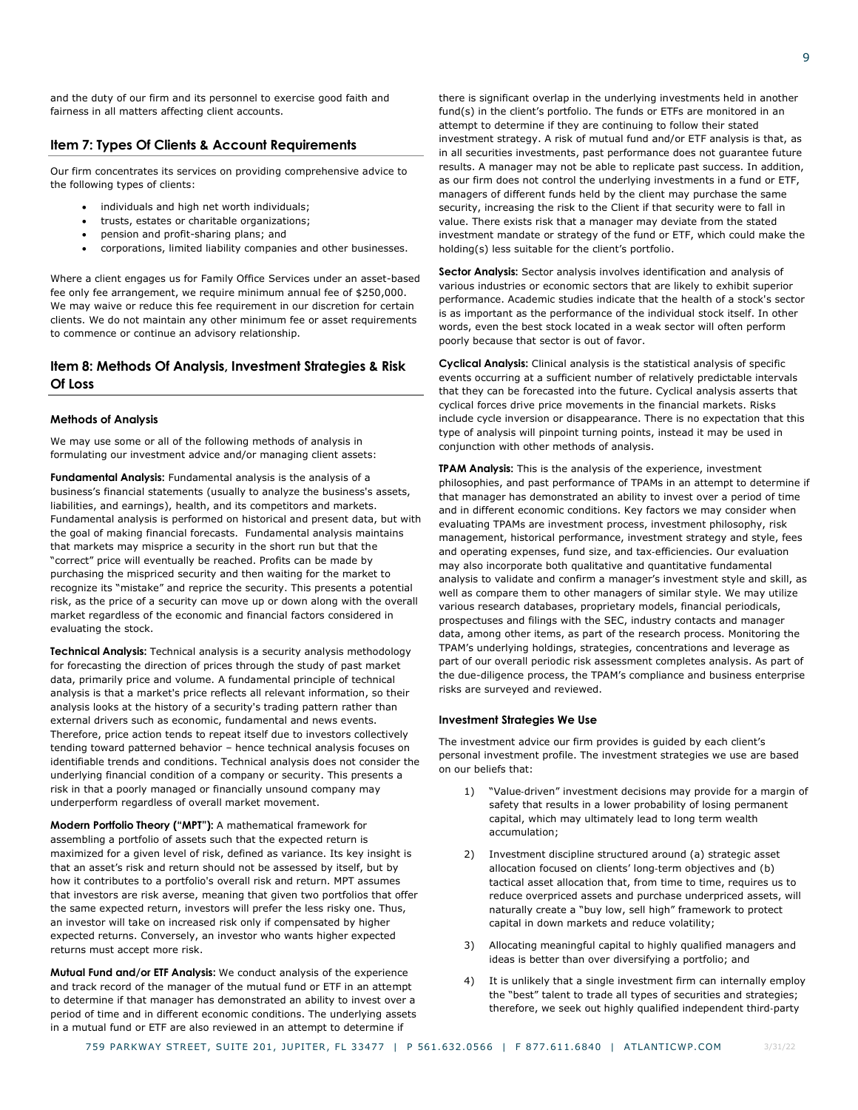and the duty of our firm and its personnel to exercise good faith and fairness in all matters affecting client accounts.

## <span id="page-10-0"></span>**Item 7: Types Of Clients & Account Requirements**

Our firm concentrates its services on providing comprehensive advice to the following types of clients:

- individuals and high net worth individuals;
- trusts, estates or charitable organizations;
- pension and profit-sharing plans; and
- corporations, limited liability companies and other businesses.

Where a client engages us for Family Office Services under an asset-based fee only fee arrangement, we require minimum annual fee of \$250,000. We may waive or reduce this fee requirement in our discretion for certain clients. We do not maintain any other minimum fee or asset requirements to commence or continue an advisory relationship.

# <span id="page-10-1"></span>**Item 8: Methods Of Analysis, Investment Strategies & Risk Of Loss**

#### **Methods of Analysis**

We may use some or all of the following methods of analysis in formulating our investment advice and/or managing client assets:

**Fundamental Analysis:** Fundamental analysis is the analysis of a business's financial statements (usually to analyze the business's assets, liabilities, and earnings), health, and its competitors and markets. Fundamental analysis is performed on historical and present data, but with the goal of making financial forecasts. Fundamental analysis maintains that markets may misprice a security in the short run but that the "correct" price will eventually be reached. Profits can be made by purchasing the mispriced security and then waiting for the market to recognize its "mistake" and reprice the security. This presents a potential risk, as the price of a security can move up or down along with the overall market regardless of the economic and financial factors considered in evaluating the stock.

**Technical Analysis:** Technical analysis is a security analysis methodology for forecasting the direction of prices through the study of past market data, primarily price and volume. A fundamental principle of technical analysis is that a market's price reflects all relevant information, so their analysis looks at the history of a security's trading pattern rather than external drivers such as economic, fundamental and news events. Therefore, price action tends to repeat itself due to investors collectively tending toward patterned behavior – hence technical analysis focuses on identifiable trends and conditions. Technical analysis does not consider the underlying financial condition of a company or security. This presents a risk in that a poorly managed or financially unsound company may underperform regardless of overall market movement.

**Modern Portfolio Theory ("MPT"):** A mathematical framework for assembling a portfolio of assets such that the expected return is maximized for a given level of risk, defined as variance. Its key insight is that an asset's risk and return should not be assessed by itself, but by how it contributes to a portfolio's overall risk and return. MPT assumes that investors are risk averse, meaning that given two portfolios that offer the same expected return, investors will prefer the less risky one. Thus, an investor will take on increased risk only if compensated by higher expected returns. Conversely, an investor who wants higher expected returns must accept more risk.

**Mutual Fund and/or ETF Analysis:** We conduct analysis of the experience and track record of the manager of the mutual fund or ETF in an attempt to determine if that manager has demonstrated an ability to invest over a period of time and in different economic conditions. The underlying assets in a mutual fund or ETF are also reviewed in an attempt to determine if

there is significant overlap in the underlying investments held in another fund(s) in the client's portfolio. The funds or ETFs are monitored in an attempt to determine if they are continuing to follow their stated investment strategy. A risk of mutual fund and/or ETF analysis is that, as in all securities investments, past performance does not guarantee future results. A manager may not be able to replicate past success. In addition, as our firm does not control the underlying investments in a fund or ETF, managers of different funds held by the client may purchase the same security, increasing the risk to the Client if that security were to fall in value. There exists risk that a manager may deviate from the stated investment mandate or strategy of the fund or ETF, which could make the holding(s) less suitable for the client's portfolio.

**Sector Analysis:** Sector analysis involves identification and analysis of various industries or economic sectors that are likely to exhibit superior performance. Academic studies indicate that the health of a stock's sector is as important as the performance of the individual stock itself. In other words, even the best stock located in a weak sector will often perform poorly because that sector is out of favor.

**Cyclical Analysis:** Clinical analysis is the statistical analysis of specific events occurring at a sufficient number of relatively predictable intervals that they can be forecasted into the future. Cyclical analysis asserts that cyclical forces drive price movements in the financial markets. Risks include cycle inversion or disappearance. There is no expectation that this type of analysis will pinpoint turning points, instead it may be used in conjunction with other methods of analysis.

**TPAM Analysis:** This is the analysis of the experience, investment philosophies, and past performance of TPAMs in an attempt to determine if that manager has demonstrated an ability to invest over a period of time and in different economic conditions. Key factors we may consider when evaluating TPAMs are investment process, investment philosophy, risk management, historical performance, investment strategy and style, fees and operating expenses, fund size, and tax‐efficiencies. Our evaluation may also incorporate both qualitative and quantitative fundamental analysis to validate and confirm a manager's investment style and skill, as well as compare them to other managers of similar style. We may utilize various research databases, proprietary models, financial periodicals, prospectuses and filings with the SEC, industry contacts and manager data, among other items, as part of the research process. Monitoring the TPAM's underlying holdings, strategies, concentrations and leverage as part of our overall periodic risk assessment completes analysis. As part of the due-diligence process, the TPAM's compliance and business enterprise risks are surveyed and reviewed.

#### **Investment Strategies We Use**

The investment advice our firm provides is guided by each client's personal investment profile. The investment strategies we use are based on our beliefs that:

- 1) "Value-driven" investment decisions may provide for a margin of safety that results in a lower probability of losing permanent capital, which may ultimately lead to long term wealth accumulation;
- 2) Investment discipline structured around (a) strategic asset allocation focused on clients' long‐term objectives and (b) tactical asset allocation that, from time to time, requires us to reduce overpriced assets and purchase underpriced assets, will naturally create a "buy low, sell high" framework to protect capital in down markets and reduce volatility;
- 3) Allocating meaningful capital to highly qualified managers and ideas is better than over diversifying a portfolio; and
- 4) It is unlikely that a single investment firm can internally employ the "best" talent to trade all types of securities and strategies; therefore, we seek out highly qualified independent third‐party

3/31/22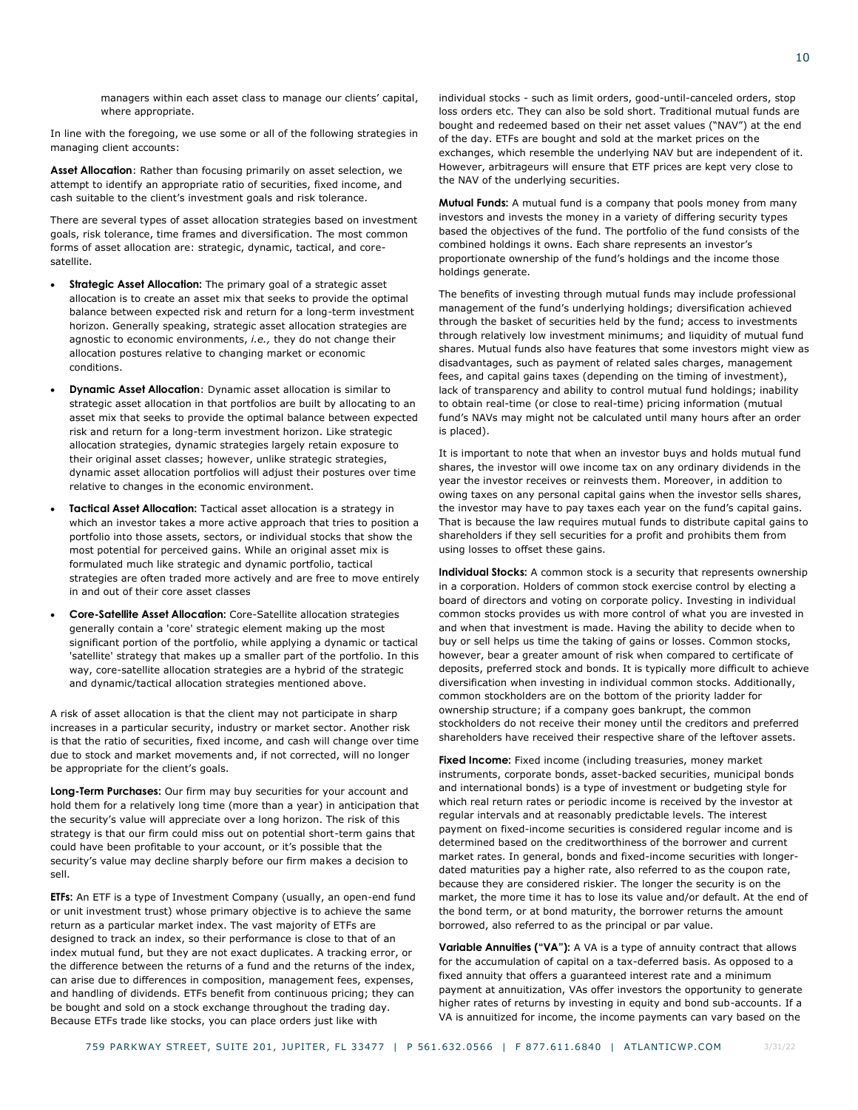managers within each asset class to manage our clients' capital, where appropriate.

In line with the foregoing, we use some or all of the following strategies in managing client accounts:

**Asset Allocation**: Rather than focusing primarily on asset selection, we attempt to identify an appropriate ratio of securities, fixed income, and cash suitable to the client's investment goals and risk tolerance.

There are several types of asset allocation strategies based on investment goals, risk tolerance, time frames and diversification. The most common forms of asset allocation are: strategic, dynamic, tactical, and coresatellite.

- Strategic Asset Allocation: The primary goal of a strategic asset allocation is to create an asset mix that seeks to provide the optimal balance between expected risk and return for a long-term investment horizon. Generally speaking, strategic asset allocation strategies are agnostic to economic environments, *i.e.,* they do not change their allocation postures relative to changing market or economic conditions.
- **Dynamic Asset Allocation**: Dynamic asset allocation is similar to strategic asset allocation in that portfolios are built by allocating to an asset mix that seeks to provide the optimal balance between expected risk and return for a long-term investment horizon. Like strategic allocation strategies, dynamic strategies largely retain exposure to their original asset classes; however, unlike strategic strategies, dynamic asset allocation portfolios will adjust their postures over time relative to changes in the economic environment.
- **Tactical Asset Allocation:** Tactical asset allocation is a strategy in which an investor takes a more active approach that tries to position a portfolio into those assets, sectors, or individual stocks that show the most potential for perceived gains. While an original asset mix is formulated much like strategic and dynamic portfolio, tactical strategies are often traded more actively and are free to move entirely in and out of their core asset classes
- **Core-Satellite Asset Allocation:** Core-Satellite allocation strategies generally contain a 'core' strategic element making up the most significant portion of the portfolio, while applying a dynamic or tactical 'satellite' strategy that makes up a smaller part of the portfolio. In this way, core-satellite allocation strategies are a hybrid of the strategic and dynamic/tactical allocation strategies mentioned above.

A risk of asset allocation is that the client may not participate in sharp increases in a particular security, industry or market sector. Another risk is that the ratio of securities, fixed income, and cash will change over time due to stock and market movements and, if not corrected, will no longer be appropriate for the client's goals.

**Long-Term Purchases:** Our firm may buy securities for your account and hold them for a relatively long time (more than a year) in anticipation that the security's value will appreciate over a long horizon. The risk of this strategy is that our firm could miss out on potential short-term gains that could have been profitable to your account, or it's possible that the security's value may decline sharply before our firm makes a decision to sell.

**ETFs:** An ETF is a type of Investment Company (usually, an open-end fund or unit investment trust) whose primary objective is to achieve the same return as a particular market index. The vast majority of ETFs are designed to track an index, so their performance is close to that of an index mutual fund, but they are not exact duplicates. A tracking error, or the difference between the returns of a fund and the returns of the index, can arise due to differences in composition, management fees, expenses, and handling of dividends. ETFs benefit from continuous pricing; they can be bought and sold on a stock exchange throughout the trading day. Because ETFs trade like stocks, you can place orders just like with

individual stocks - such as limit orders, good-until-canceled orders, stop loss orders etc. They can also be sold short. Traditional mutual funds are bought and redeemed based on their net asset values ("NAV") at the end of the day. ETFs are bought and sold at the market prices on the exchanges, which resemble the underlying NAV but are independent of it. However, arbitrageurs will ensure that ETF prices are kept very close to the NAV of the underlying securities.

**Mutual Funds:** A mutual fund is a company that pools money from many investors and invests the money in a variety of differing security types based the objectives of the fund. The portfolio of the fund consists of the combined holdings it owns. Each share represents an investor's proportionate ownership of the fund's holdings and the income those holdings generate.

The benefits of investing through mutual funds may include professional management of the fund's underlying holdings; diversification achieved through the basket of securities held by the fund; access to investments through relatively low investment minimums; and liquidity of mutual fund shares. Mutual funds also have features that some investors might view as disadvantages, such as payment of related sales charges, management fees, and capital gains taxes (depending on the timing of investment), lack of transparency and ability to control mutual fund holdings; inability to obtain real-time (or close to real-time) pricing information (mutual fund's NAVs may might not be calculated until many hours after an order is placed).

It is important to note that when an investor buys and holds mutual fund shares, the investor will owe income tax on any ordinary dividends in the year the investor receives or reinvests them. Moreover, in addition to owing taxes on any personal capital gains when the investor sells shares, the investor may have to pay taxes each year on the fund's capital gains. That is because the law requires mutual funds to distribute capital gains to shareholders if they sell securities for a profit and prohibits them from using losses to offset these gains.

**Individual Stocks:** A common stock is a security that represents ownership in a corporation. Holders of common stock exercise control by electing a board of directors and voting on corporate policy. Investing in individual common stocks provides us with more control of what you are invested in and when that investment is made. Having the ability to decide when to buy or sell helps us time the taking of gains or losses. Common stocks, however, bear a greater amount of risk when compared to certificate of deposits, preferred stock and bonds. It is typically more difficult to achieve diversification when investing in individual common stocks. Additionally, common stockholders are on the bottom of the priority ladder for ownership structure; if a company goes bankrupt, the common stockholders do not receive their money until the creditors and preferred shareholders have received their respective share of the leftover assets.

**Fixed Income:** Fixed income (including treasuries, money market instruments, corporate bonds, asset-backed securities, municipal bonds and international bonds) is a type of investment or budgeting style for which real return rates or periodic income is received by the investor at regular intervals and at reasonably predictable levels. The interest payment on fixed-income securities is considered regular income and is determined based on the creditworthiness of the borrower and current market rates. In general, bonds and fixed-income securities with longerdated maturities pay a higher rate, also referred to as the coupon rate, because they are considered riskier. The longer the security is on the market, the more time it has to lose its value and/or default. At the end of the bond term, or at bond maturity, the borrower returns the amount borrowed, also referred to as the principal or par value.

**Variable Annuities ("VA"):** A VA is a type of annuity contract that allows for the accumulation of capital on a tax-deferred basis. As opposed to a fixed annuity that offers a guaranteed interest rate and a minimum payment at annuitization, VAs offer investors the opportunity to generate higher rates of returns by investing in equity and bond sub-accounts. If a VA is annuitized for income, the income payments can vary based on the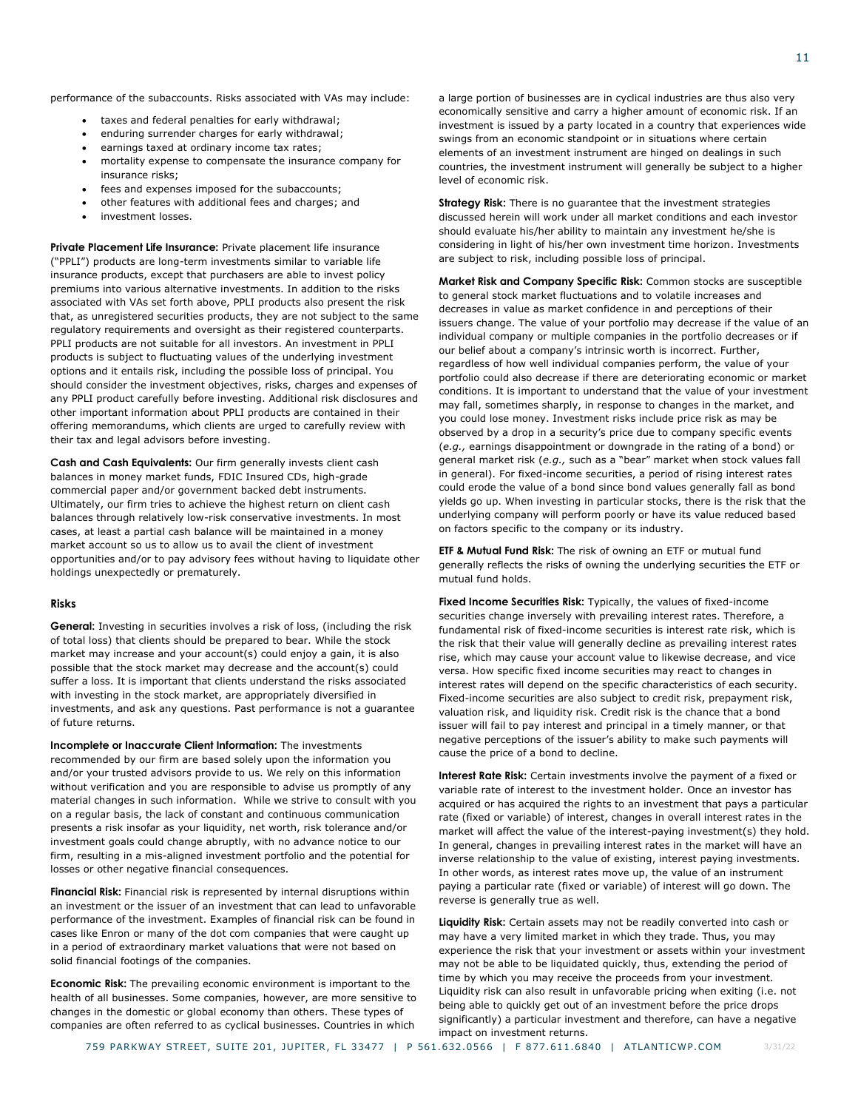performance of the subaccounts. Risks associated with VAs may include:

- taxes and federal penalties for early withdrawal;
- enduring surrender charges for early withdrawal;
- earnings taxed at ordinary income tax rates;
- mortality expense to compensate the insurance company for insurance risks;
- fees and expenses imposed for the subaccounts;
- other features with additional fees and charges; and
- investment losses.

**Private Placement Life Insurance:** Private placement life insurance ("PPLI") products are long-term investments similar to variable life insurance products, except that purchasers are able to invest policy premiums into various alternative investments. In addition to the risks associated with VAs set forth above, PPLI products also present the risk that, as unregistered securities products, they are not subject to the same regulatory requirements and oversight as their registered counterparts. PPLI products are not suitable for all investors. An investment in PPLI products is subject to fluctuating values of the underlying investment options and it entails risk, including the possible loss of principal. You should consider the investment objectives, risks, charges and expenses of any PPLI product carefully before investing. Additional risk disclosures and other important information about PPLI products are contained in their offering memorandums, which clients are urged to carefully review with their tax and legal advisors before investing.

**Cash and Cash Equivalents:** Our firm generally invests client cash balances in money market funds, FDIC Insured CDs, high-grade commercial paper and/or government backed debt instruments. Ultimately, our firm tries to achieve the highest return on client cash balances through relatively low-risk conservative investments. In most cases, at least a partial cash balance will be maintained in a money market account so us to allow us to avail the client of investment opportunities and/or to pay advisory fees without having to liquidate other holdings unexpectedly or prematurely.

### **Risks**

**General:** Investing in securities involves a risk of loss, (including the risk of total loss) that clients should be prepared to bear. While the stock market may increase and your account(s) could enjoy a gain, it is also possible that the stock market may decrease and the account(s) could suffer a loss. It is important that clients understand the risks associated with investing in the stock market, are appropriately diversified in investments, and ask any questions. Past performance is not a guarantee of future returns.

**Incomplete or Inaccurate Client Information:** The investments recommended by our firm are based solely upon the information you and/or your trusted advisors provide to us. We rely on this information without verification and you are responsible to advise us promptly of any material changes in such information. While we strive to consult with you on a regular basis, the lack of constant and continuous communication presents a risk insofar as your liquidity, net worth, risk tolerance and/or investment goals could change abruptly, with no advance notice to our firm, resulting in a mis-aligned investment portfolio and the potential for losses or other negative financial consequences.

**Financial Risk:** Financial risk is represented by internal disruptions within an investment or the issuer of an investment that can lead to unfavorable performance of the investment. Examples of financial risk can be found in cases like Enron or many of the dot com companies that were caught up in a period of extraordinary market valuations that were not based on solid financial footings of the companies.

**Economic Risk:** The prevailing economic environment is important to the health of all businesses. Some companies, however, are more sensitive to changes in the domestic or global economy than others. These types of companies are often referred to as cyclical businesses. Countries in which

a large portion of businesses are in cyclical industries are thus also very economically sensitive and carry a higher amount of economic risk. If an investment is issued by a party located in a country that experiences wide swings from an economic standpoint or in situations where certain elements of an investment instrument are hinged on dealings in such countries, the investment instrument will generally be subject to a higher level of economic risk.

**Strategy Risk:** There is no guarantee that the investment strategies discussed herein will work under all market conditions and each investor should evaluate his/her ability to maintain any investment he/she is considering in light of his/her own investment time horizon. Investments are subject to risk, including possible loss of principal.

**Market Risk and Company Specific Risk:** Common stocks are susceptible to general stock market fluctuations and to volatile increases and decreases in value as market confidence in and perceptions of their issuers change. The value of your portfolio may decrease if the value of an individual company or multiple companies in the portfolio decreases or if our belief about a company's intrinsic worth is incorrect. Further, regardless of how well individual companies perform, the value of your portfolio could also decrease if there are deteriorating economic or market conditions. It is important to understand that the value of your investment may fall, sometimes sharply, in response to changes in the market, and you could lose money. Investment risks include price risk as may be observed by a drop in a security's price due to company specific events (*e.g.,* earnings disappointment or downgrade in the rating of a bond) or general market risk (*e.g.,* such as a "bear" market when stock values fall in general). For fixed-income securities, a period of rising interest rates could erode the value of a bond since bond values generally fall as bond yields go up. When investing in particular stocks, there is the risk that the underlying company will perform poorly or have its value reduced based on factors specific to the company or its industry.

**ETF & Mutual Fund Risk:** The risk of owning an ETF or mutual fund generally reflects the risks of owning the underlying securities the ETF or mutual fund holds.

**Fixed Income Securities Risk:** Typically, the values of fixed-income securities change inversely with prevailing interest rates. Therefore, a fundamental risk of fixed-income securities is interest rate risk, which is the risk that their value will generally decline as prevailing interest rates rise, which may cause your account value to likewise decrease, and vice versa. How specific fixed income securities may react to changes in interest rates will depend on the specific characteristics of each security. Fixed-income securities are also subject to credit risk, prepayment risk, valuation risk, and liquidity risk. Credit risk is the chance that a bond issuer will fail to pay interest and principal in a timely manner, or that negative perceptions of the issuer's ability to make such payments will cause the price of a bond to decline.

**Interest Rate Risk:** Certain investments involve the payment of a fixed or variable rate of interest to the investment holder. Once an investor has acquired or has acquired the rights to an investment that pays a particular rate (fixed or variable) of interest, changes in overall interest rates in the market will affect the value of the interest-paying investment(s) they hold. In general, changes in prevailing interest rates in the market will have an inverse relationship to the value of existing, interest paying investments. In other words, as interest rates move up, the value of an instrument paying a particular rate (fixed or variable) of interest will go down. The reverse is generally true as well.

**Liquidity Risk:** Certain assets may not be readily converted into cash or may have a very limited market in which they trade. Thus, you may experience the risk that your investment or assets within your investment may not be able to be liquidated quickly, thus, extending the period of time by which you may receive the proceeds from your investment. Liquidity risk can also result in unfavorable pricing when exiting (i.e. not being able to quickly get out of an investment before the price drops significantly) a particular investment and therefore, can have a negative impact on investment returns.

11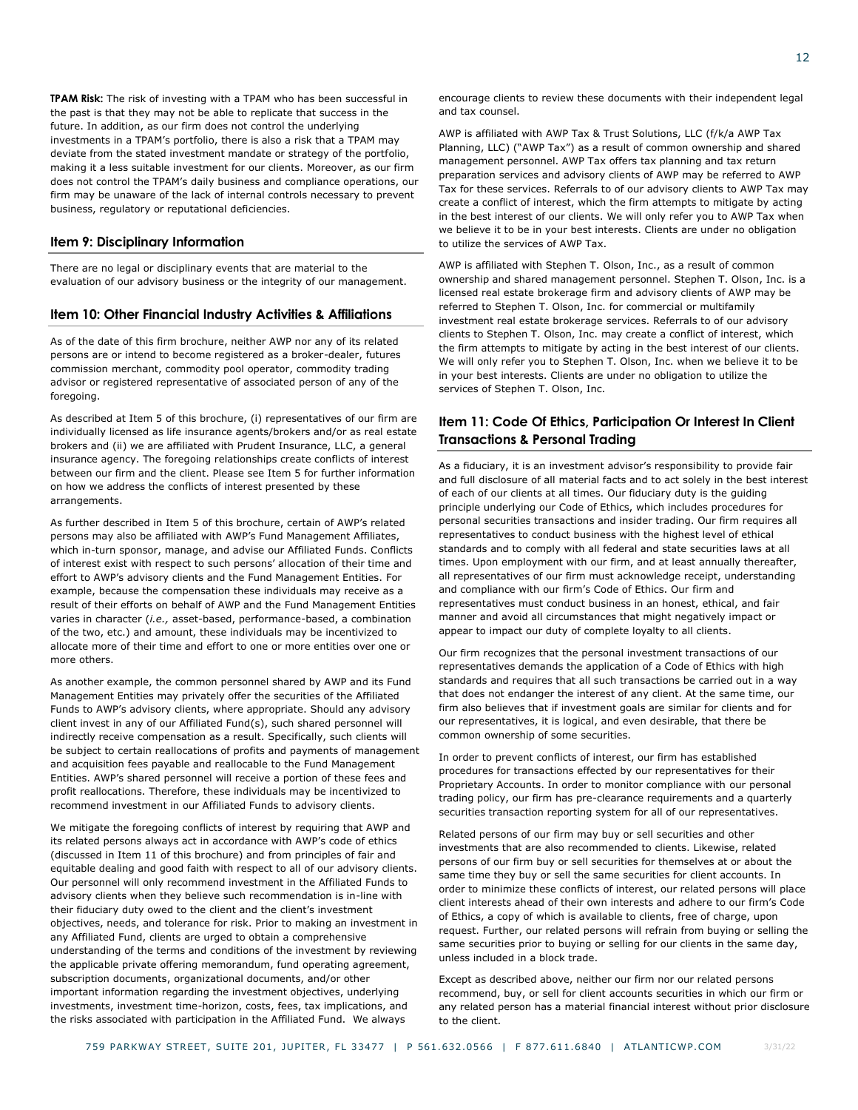**TPAM Risk:** The risk of investing with a TPAM who has been successful in the past is that they may not be able to replicate that success in the future. In addition, as our firm does not control the underlying investments in a TPAM's portfolio, there is also a risk that a TPAM may deviate from the stated investment mandate or strategy of the portfolio, making it a less suitable investment for our clients. Moreover, as our firm does not control the TPAM's daily business and compliance operations, our firm may be unaware of the lack of internal controls necessary to prevent business, regulatory or reputational deficiencies.

### <span id="page-13-0"></span>**Item 9: Disciplinary Information**

There are no legal or disciplinary events that are material to the evaluation of our advisory business or the integrity of our management.

### <span id="page-13-1"></span>**Item 10: Other Financial Industry Activities & Affiliations**

As of the date of this firm brochure, neither AWP nor any of its related persons are or intend to become registered as a broker-dealer, futures commission merchant, commodity pool operator, commodity trading advisor or registered representative of associated person of any of the foregoing.

As described at Item 5 of this brochure, (i) representatives of our firm are individually licensed as life insurance agents/brokers and/or as real estate brokers and (ii) we are affiliated with Prudent Insurance, LLC, a general insurance agency. The foregoing relationships create conflicts of interest between our firm and the client. Please see Item 5 for further information on how we address the conflicts of interest presented by these arrangements.

As further described in Item 5 of this brochure, certain of AWP's related persons may also be affiliated with AWP's Fund Management Affiliates, which in-turn sponsor, manage, and advise our Affiliated Funds. Conflicts of interest exist with respect to such persons' allocation of their time and effort to AWP's advisory clients and the Fund Management Entities. For example, because the compensation these individuals may receive as a result of their efforts on behalf of AWP and the Fund Management Entities varies in character (*i.e.,* asset-based, performance-based, a combination of the two, etc.) and amount, these individuals may be incentivized to allocate more of their time and effort to one or more entities over one or more others.

As another example, the common personnel shared by AWP and its Fund Management Entities may privately offer the securities of the Affiliated Funds to AWP's advisory clients, where appropriate. Should any advisory client invest in any of our Affiliated Fund(s), such shared personnel will indirectly receive compensation as a result. Specifically, such clients will be subject to certain reallocations of profits and payments of management and acquisition fees payable and reallocable to the Fund Management Entities. AWP's shared personnel will receive a portion of these fees and profit reallocations. Therefore, these individuals may be incentivized to recommend investment in our Affiliated Funds to advisory clients.

We mitigate the foregoing conflicts of interest by requiring that AWP and its related persons always act in accordance with AWP's code of ethics (discussed in Item 11 of this brochure) and from principles of fair and equitable dealing and good faith with respect to all of our advisory clients. Our personnel will only recommend investment in the Affiliated Funds to advisory clients when they believe such recommendation is in-line with their fiduciary duty owed to the client and the client's investment objectives, needs, and tolerance for risk. Prior to making an investment in any Affiliated Fund, clients are urged to obtain a comprehensive understanding of the terms and conditions of the investment by reviewing the applicable private offering memorandum, fund operating agreement, subscription documents, organizational documents, and/or other important information regarding the investment objectives, underlying investments, investment time-horizon, costs, fees, tax implications, and the risks associated with participation in the Affiliated Fund. We always

encourage clients to review these documents with their independent legal and tax counsel.

AWP is affiliated with AWP Tax & Trust Solutions, LLC (f/k/a AWP Tax Planning, LLC) ("AWP Tax") as a result of common ownership and shared management personnel. AWP Tax offers tax planning and tax return preparation services and advisory clients of AWP may be referred to AWP Tax for these services. Referrals to of our advisory clients to AWP Tax may create a conflict of interest, which the firm attempts to mitigate by acting in the best interest of our clients. We will only refer you to AWP Tax when we believe it to be in your best interests. Clients are under no obligation to utilize the services of AWP Tax.

AWP is affiliated with Stephen T. Olson, Inc., as a result of common ownership and shared management personnel. Stephen T. Olson, Inc. is a licensed real estate brokerage firm and advisory clients of AWP may be referred to Stephen T. Olson, Inc. for commercial or multifamily investment real estate brokerage services. Referrals to of our advisory clients to Stephen T. Olson, Inc. may create a conflict of interest, which the firm attempts to mitigate by acting in the best interest of our clients. We will only refer you to Stephen T. Olson, Inc. when we believe it to be in your best interests. Clients are under no obligation to utilize the services of Stephen T. Olson, Inc.

# <span id="page-13-2"></span>**Item 11: Code Of Ethics, Participation Or Interest In Client Transactions & Personal Trading**

As a fiduciary, it is an investment advisor's responsibility to provide fair and full disclosure of all material facts and to act solely in the best interest of each of our clients at all times. Our fiduciary duty is the guiding principle underlying our Code of Ethics, which includes procedures for personal securities transactions and insider trading. Our firm requires all representatives to conduct business with the highest level of ethical standards and to comply with all federal and state securities laws at all times. Upon employment with our firm, and at least annually thereafter, all representatives of our firm must acknowledge receipt, understanding and compliance with our firm's Code of Ethics. Our firm and representatives must conduct business in an honest, ethical, and fair manner and avoid all circumstances that might negatively impact or appear to impact our duty of complete loyalty to all clients.

Our firm recognizes that the personal investment transactions of our representatives demands the application of a Code of Ethics with high standards and requires that all such transactions be carried out in a way that does not endanger the interest of any client. At the same time, our firm also believes that if investment goals are similar for clients and for our representatives, it is logical, and even desirable, that there be common ownership of some securities.

In order to prevent conflicts of interest, our firm has established procedures for transactions effected by our representatives for their Proprietary Accounts. In order to monitor compliance with our personal trading policy, our firm has pre-clearance requirements and a quarterly securities transaction reporting system for all of our representatives.

Related persons of our firm may buy or sell securities and other investments that are also recommended to clients. Likewise, related persons of our firm buy or sell securities for themselves at or about the same time they buy or sell the same securities for client accounts. In order to minimize these conflicts of interest, our related persons will place client interests ahead of their own interests and adhere to our firm's Code of Ethics, a copy of which is available to clients, free of charge, upon request. Further, our related persons will refrain from buying or selling the same securities prior to buying or selling for our clients in the same day, unless included in a block trade.

Except as described above, neither our firm nor our related persons recommend, buy, or sell for client accounts securities in which our firm or any related person has a material financial interest without prior disclosure to the client.

3/31/22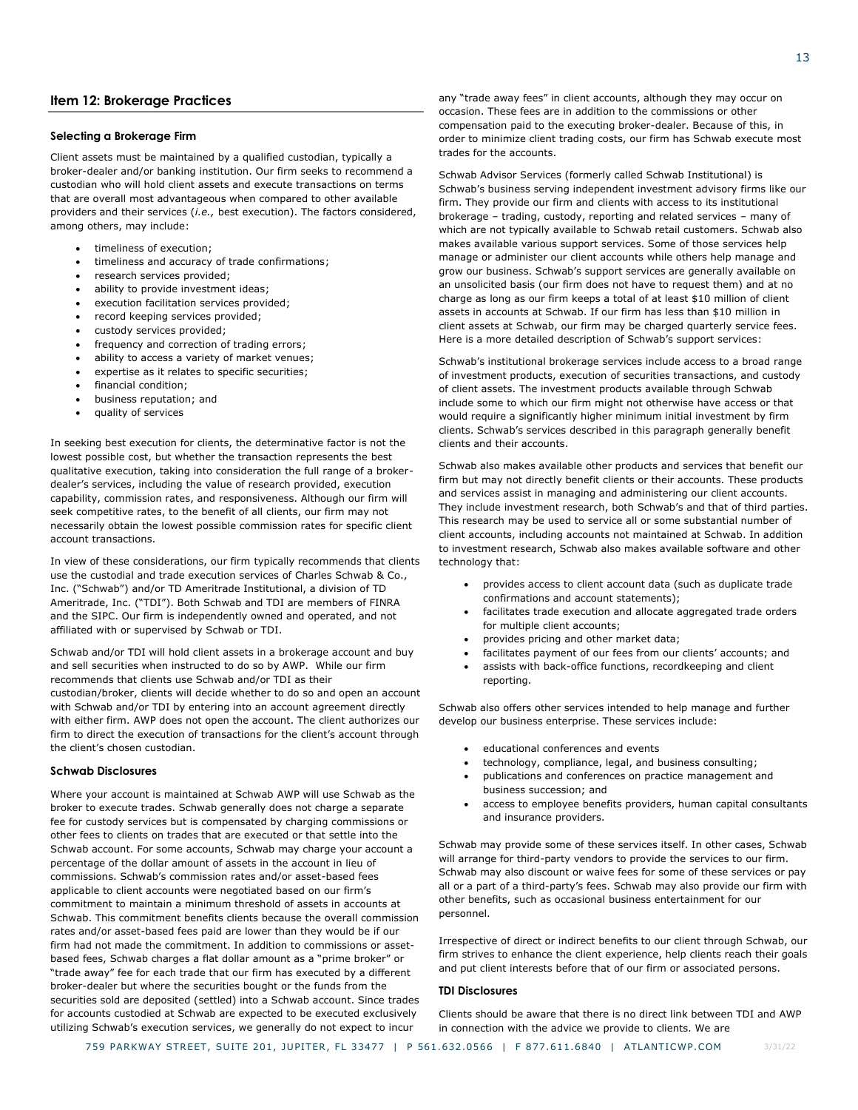# <span id="page-14-0"></span>**Item 12: Brokerage Practices**

### **Selecting a Brokerage Firm**

Client assets must be maintained by a qualified custodian, typically a broker-dealer and/or banking institution. Our firm seeks to recommend a custodian who will hold client assets and execute transactions on terms that are overall most advantageous when compared to other available providers and their services (*i.e.,* best execution). The factors considered, among others, may include:

- timeliness of execution;
- timeliness and accuracy of trade confirmations;
- research services provided;
- ability to provide investment ideas;
- execution facilitation services provided;
- record keeping services provided;
- custody services provided;
- frequency and correction of trading errors;
- ability to access a variety of market venues;
- expertise as it relates to specific securities;
- financial condition;
- business reputation; and
- quality of services

In seeking best execution for clients, the determinative factor is not the lowest possible cost, but whether the transaction represents the best qualitative execution, taking into consideration the full range of a brokerdealer's services, including the value of research provided, execution capability, commission rates, and responsiveness. Although our firm will seek competitive rates, to the benefit of all clients, our firm may not necessarily obtain the lowest possible commission rates for specific client account transactions.

In view of these considerations, our firm typically recommends that clients use the custodial and trade execution services of Charles Schwab & Co., Inc. ("Schwab") and/or TD Ameritrade Institutional, a division of TD Ameritrade, Inc. ("TDI"). Both Schwab and TDI are members of FINRA and the SIPC. Our firm is independently owned and operated, and not affiliated with or supervised by Schwab or TDI.

Schwab and/or TDI will hold client assets in a brokerage account and buy and sell securities when instructed to do so by AWP. While our firm recommends that clients use Schwab and/or TDI as their custodian/broker, clients will decide whether to do so and open an account with Schwab and/or TDI by entering into an account agreement directly with either firm. AWP does not open the account. The client authorizes our firm to direct the execution of transactions for the client's account through the client's chosen custodian.

### **Schwab Disclosures**

Where your account is maintained at Schwab AWP will use Schwab as the broker to execute trades. Schwab generally does not charge a separate fee for custody services but is compensated by charging commissions or other fees to clients on trades that are executed or that settle into the Schwab account. For some accounts, Schwab may charge your account a percentage of the dollar amount of assets in the account in lieu of commissions. Schwab's commission rates and/or asset-based fees applicable to client accounts were negotiated based on our firm's commitment to maintain a minimum threshold of assets in accounts at Schwab. This commitment benefits clients because the overall commission rates and/or asset-based fees paid are lower than they would be if our firm had not made the commitment. In addition to commissions or assetbased fees, Schwab charges a flat dollar amount as a "prime broker" or "trade away" fee for each trade that our firm has executed by a different broker-dealer but where the securities bought or the funds from the securities sold are deposited (settled) into a Schwab account. Since trades for accounts custodied at Schwab are expected to be executed exclusively utilizing Schwab's execution services, we generally do not expect to incur

any "trade away fees" in client accounts, although they may occur on occasion. These fees are in addition to the commissions or other compensation paid to the executing broker-dealer. Because of this, in order to minimize client trading costs, our firm has Schwab execute most trades for the accounts.

Schwab Advisor Services (formerly called Schwab Institutional) is Schwab's business serving independent investment advisory firms like our firm. They provide our firm and clients with access to its institutional brokerage – trading, custody, reporting and related services – many of which are not typically available to Schwab retail customers. Schwab also makes available various support services. Some of those services help manage or administer our client accounts while others help manage and grow our business. Schwab's support services are generally available on an unsolicited basis (our firm does not have to request them) and at no charge as long as our firm keeps a total of at least \$10 million of client assets in accounts at Schwab. If our firm has less than \$10 million in client assets at Schwab, our firm may be charged quarterly service fees. Here is a more detailed description of Schwab's support services:

Schwab's institutional brokerage services include access to a broad range of investment products, execution of securities transactions, and custody of client assets. The investment products available through Schwab include some to which our firm might not otherwise have access or that would require a significantly higher minimum initial investment by firm clients. Schwab's services described in this paragraph generally benefit clients and their accounts.

Schwab also makes available other products and services that benefit our firm but may not directly benefit clients or their accounts. These products and services assist in managing and administering our client accounts. They include investment research, both Schwab's and that of third parties. This research may be used to service all or some substantial number of client accounts, including accounts not maintained at Schwab. In addition to investment research, Schwab also makes available software and other technology that:

- provides access to client account data (such as duplicate trade confirmations and account statements);
- facilitates trade execution and allocate aggregated trade orders for multiple client accounts;
- provides pricing and other market data;
- facilitates payment of our fees from our clients' accounts; and
- assists with back-office functions, recordkeeping and client reporting.

Schwab also offers other services intended to help manage and further develop our business enterprise. These services include:

- educational conferences and events
- technology, compliance, legal, and business consulting;
- publications and conferences on practice management and business succession; and
- access to employee benefits providers, human capital consultants and insurance providers.

Schwab may provide some of these services itself. In other cases, Schwab will arrange for third-party vendors to provide the services to our firm. Schwab may also discount or waive fees for some of these services or pay all or a part of a third-party's fees. Schwab may also provide our firm with other benefits, such as occasional business entertainment for our personnel.

Irrespective of direct or indirect benefits to our client through Schwab, our firm strives to enhance the client experience, help clients reach their goals and put client interests before that of our firm or associated persons.

### **TDI Disclosures**

Clients should be aware that there is no direct link between TDI and AWP in connection with the advice we provide to clients. We are

3/31/22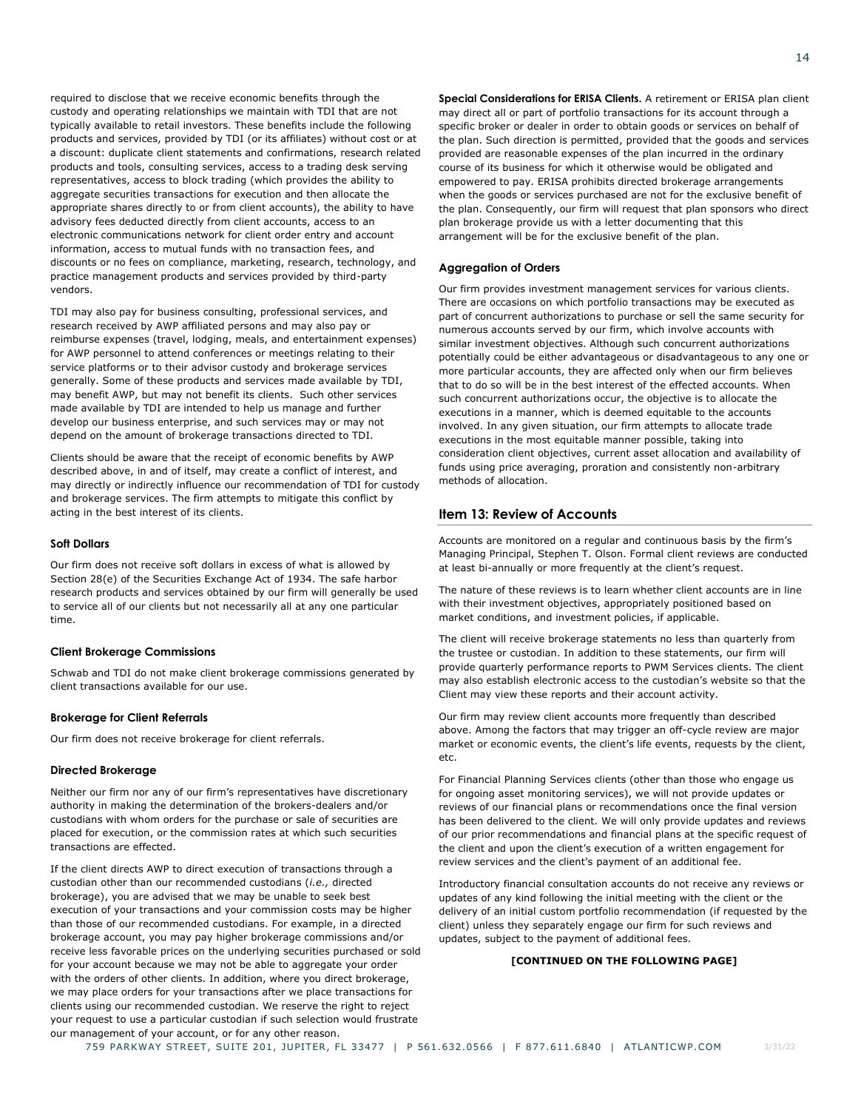required to disclose that we receive economic benefits through the custody and operating relationships we maintain with TDI that are not typically available to retail investors. These benefits include the following products and services, provided by TDI (or its affiliates) without cost or at a discount: duplicate client statements and confirmations, research related products and tools, consulting services, access to a trading desk serving representatives, access to block trading (which provides the ability to aggregate securities transactions for execution and then allocate the appropriate shares directly to or from client accounts), the ability to have advisory fees deducted directly from client accounts, access to an electronic communications network for client order entry and account information, access to mutual funds with no transaction fees, and discounts or no fees on compliance, marketing, research, technology, and practice management products and services provided by third-party vendors.

TDI may also pay for business consulting, professional services, and research received by AWP affiliated persons and may also pay or reimburse expenses (travel, lodging, meals, and entertainment expenses) for AWP personnel to attend conferences or meetings relating to their service platforms or to their advisor custody and brokerage services generally. Some of these products and services made available by TDI, may benefit AWP, but may not benefit its clients. Such other services made available by TDI are intended to help us manage and further develop our business enterprise, and such services may or may not depend on the amount of brokerage transactions directed to TDI.

Clients should be aware that the receipt of economic benefits by AWP described above, in and of itself, may create a conflict of interest, and may directly or indirectly influence our recommendation of TDI for custody and brokerage services. The firm attempts to mitigate this conflict by acting in the best interest of its clients.

### **Soft Dollars**

Our firm does not receive soft dollars in excess of what is allowed by Section 28(e) of the Securities Exchange Act of 1934. The safe harbor research products and services obtained by our firm will generally be used to service all of our clients but not necessarily all at any one particular time.

## **Client Brokerage Commissions**

Schwab and TDI do not make client brokerage commissions generated by client transactions available for our use.

### **Brokerage for Client Referrals**

Our firm does not receive brokerage for client referrals.

### **Directed Brokerage**

Neither our firm nor any of our firm's representatives have discretionary authority in making the determination of the brokers-dealers and/or custodians with whom orders for the purchase or sale of securities are placed for execution, or the commission rates at which such securities transactions are effected.

If the client directs AWP to direct execution of transactions through a custodian other than our recommended custodians (*i.e.,* directed brokerage), you are advised that we may be unable to seek best execution of your transactions and your commission costs may be higher than those of our recommended custodians. For example, in a directed brokerage account, you may pay higher brokerage commissions and/or receive less favorable prices on the underlying securities purchased or sold for your account because we may not be able to aggregate your order with the orders of other clients. In addition, where you direct brokerage, we may place orders for your transactions after we place transactions for clients using our recommended custodian. We reserve the right to reject your request to use a particular custodian if such selection would frustrate our management of your account, or for any other reason.

**Special Considerations for ERISA Clients.** A retirement or ERISA plan client may direct all or part of portfolio transactions for its account through a specific broker or dealer in order to obtain goods or services on behalf of the plan. Such direction is permitted, provided that the goods and services provided are reasonable expenses of the plan incurred in the ordinary course of its business for which it otherwise would be obligated and empowered to pay. ERISA prohibits directed brokerage arrangements when the goods or services purchased are not for the exclusive benefit of the plan. Consequently, our firm will request that plan sponsors who direct plan brokerage provide us with a letter documenting that this arrangement will be for the exclusive benefit of the plan.

### **Aggregation of Orders**

Our firm provides investment management services for various clients. There are occasions on which portfolio transactions may be executed as part of concurrent authorizations to purchase or sell the same security for numerous accounts served by our firm, which involve accounts with similar investment objectives. Although such concurrent authorizations potentially could be either advantageous or disadvantageous to any one or more particular accounts, they are affected only when our firm believes that to do so will be in the best interest of the effected accounts. When such concurrent authorizations occur, the objective is to allocate the executions in a manner, which is deemed equitable to the accounts involved. In any given situation, our firm attempts to allocate trade executions in the most equitable manner possible, taking into consideration client objectives, current asset allocation and availability of funds using price averaging, proration and consistently non-arbitrary methods of allocation.

# <span id="page-15-0"></span>**Item 13: Review of Accounts**

Accounts are monitored on a regular and continuous basis by the firm's Managing Principal, Stephen T. Olson. Formal client reviews are conducted at least bi-annually or more frequently at the client's request.

The nature of these reviews is to learn whether client accounts are in line with their investment objectives, appropriately positioned based on market conditions, and investment policies, if applicable.

The client will receive brokerage statements no less than quarterly from the trustee or custodian. In addition to these statements, our firm will provide quarterly performance reports to PWM Services clients. The client may also establish electronic access to the custodian's website so that the Client may view these reports and their account activity.

Our firm may review client accounts more frequently than described above. Among the factors that may trigger an off-cycle review are major market or economic events, the client's life events, requests by the client, etc.

For Financial Planning Services clients (other than those who engage us for ongoing asset monitoring services), we will not provide updates or reviews of our financial plans or recommendations once the final version has been delivered to the client. We will only provide updates and reviews of our prior recommendations and financial plans at the specific request of the client and upon the client's execution of a written engagement for review services and the client's payment of an additional fee.

Introductory financial consultation accounts do not receive any reviews or updates of any kind following the initial meeting with the client or the delivery of an initial custom portfolio recommendation (if requested by the client) unless they separately engage our firm for such reviews and updates, subject to the payment of additional fees.

### **[CONTINUED ON THE FOLLOWING PAGE]**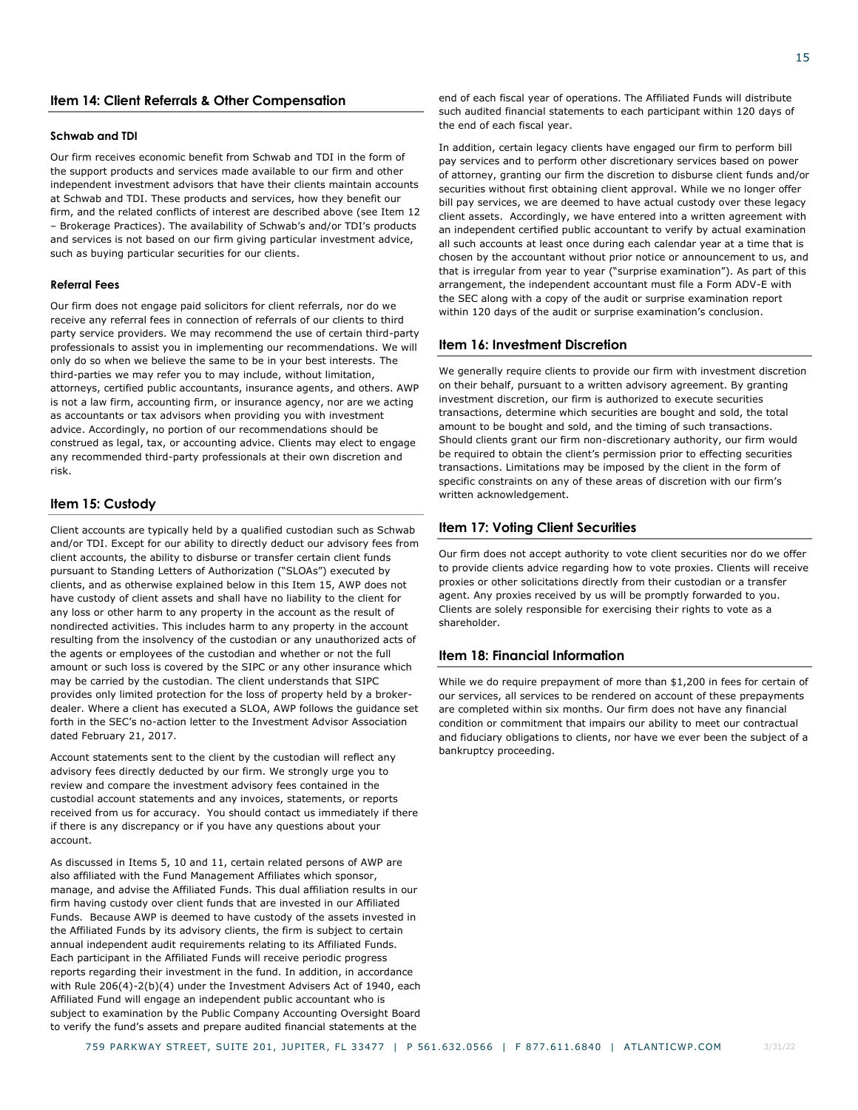# <span id="page-16-0"></span>**Item 14: Client Referrals & Other Compensation**

### **Schwab and TDI**

Our firm receives economic benefit from Schwab and TDI in the form of the support products and services made available to our firm and other independent investment advisors that have their clients maintain accounts at Schwab and TDI. These products and services, how they benefit our firm, and the related conflicts of interest are described above (see Item 12 – Brokerage Practices). The availability of Schwab's and/or TDI's products and services is not based on our firm giving particular investment advice, such as buying particular securities for our clients.

### **Referral Fees**

Our firm does not engage paid solicitors for client referrals, nor do we receive any referral fees in connection of referrals of our clients to third party service providers. We may recommend the use of certain third-party professionals to assist you in implementing our recommendations. We will only do so when we believe the same to be in your best interests. The third-parties we may refer you to may include, without limitation, attorneys, certified public accountants, insurance agents, and others. AWP is not a law firm, accounting firm, or insurance agency, nor are we acting as accountants or tax advisors when providing you with investment advice. Accordingly, no portion of our recommendations should be construed as legal, tax, or accounting advice. Clients may elect to engage any recommended third-party professionals at their own discretion and risk.

### <span id="page-16-1"></span>**Item 15: Custody**

Client accounts are typically held by a qualified custodian such as Schwab and/or TDI. Except for our ability to directly deduct our advisory fees from client accounts, the ability to disburse or transfer certain client funds pursuant to Standing Letters of Authorization ("SLOAs") executed by clients, and as otherwise explained below in this Item 15, AWP does not have custody of client assets and shall have no liability to the client for any loss or other harm to any property in the account as the result of nondirected activities. This includes harm to any property in the account resulting from the insolvency of the custodian or any unauthorized acts of the agents or employees of the custodian and whether or not the full amount or such loss is covered by the SIPC or any other insurance which may be carried by the custodian. The client understands that SIPC provides only limited protection for the loss of property held by a brokerdealer. Where a client has executed a SLOA, AWP follows the guidance set forth in the SEC's no-action letter to the Investment Advisor Association dated February 21, 2017.

Account statements sent to the client by the custodian will reflect any advisory fees directly deducted by our firm. We strongly urge you to review and compare the investment advisory fees contained in the custodial account statements and any invoices, statements, or reports received from us for accuracy. You should contact us immediately if there if there is any discrepancy or if you have any questions about your account.

As discussed in Items 5, 10 and 11, certain related persons of AWP are also affiliated with the Fund Management Affiliates which sponsor, manage, and advise the Affiliated Funds. This dual affiliation results in our firm having custody over client funds that are invested in our Affiliated Funds. Because AWP is deemed to have custody of the assets invested in the Affiliated Funds by its advisory clients, the firm is subject to certain annual independent audit requirements relating to its Affiliated Funds. Each participant in the Affiliated Funds will receive periodic progress reports regarding their investment in the fund. In addition, in accordance with Rule 206(4)-2(b)(4) under the Investment Advisers Act of 1940, each Affiliated Fund will engage an independent public accountant who is subject to examination by the Public Company Accounting Oversight Board to verify the fund's assets and prepare audited financial statements at the

In addition, certain legacy clients have engaged our firm to perform bill pay services and to perform other discretionary services based on power of attorney, granting our firm the discretion to disburse client funds and/or securities without first obtaining client approval. While we no longer offer bill pay services, we are deemed to have actual custody over these legacy client assets. Accordingly, we have entered into a written agreement with an independent certified public accountant to verify by actual examination all such accounts at least once during each calendar year at a time that is chosen by the accountant without prior notice or announcement to us, and that is irregular from year to year ("surprise examination"). As part of this arrangement, the independent accountant must file a Form ADV-E with the SEC along with a copy of the audit or surprise examination report within 120 days of the audit or surprise examination's conclusion.

### <span id="page-16-2"></span>**Item 16: Investment Discretion**

We generally require clients to provide our firm with investment discretion on their behalf, pursuant to a written advisory agreement. By granting investment discretion, our firm is authorized to execute securities transactions, determine which securities are bought and sold, the total amount to be bought and sold, and the timing of such transactions. Should clients grant our firm non-discretionary authority, our firm would be required to obtain the client's permission prior to effecting securities transactions. Limitations may be imposed by the client in the form of specific constraints on any of these areas of discretion with our firm's written acknowledgement.

### <span id="page-16-3"></span>**Item 17: Voting Client Securities**

Our firm does not accept authority to vote client securities nor do we offer to provide clients advice regarding how to vote proxies. Clients will receive proxies or other solicitations directly from their custodian or a transfer agent. Any proxies received by us will be promptly forwarded to you. Clients are solely responsible for exercising their rights to vote as a shareholder.

### <span id="page-16-4"></span>**Item 18: Financial Information**

While we do require prepayment of more than \$1,200 in fees for certain of our services, all services to be rendered on account of these prepayments are completed within six months. Our firm does not have any financial condition or commitment that impairs our ability to meet our contractual and fiduciary obligations to clients, nor have we ever been the subject of a bankruptcy proceeding.

3/31/22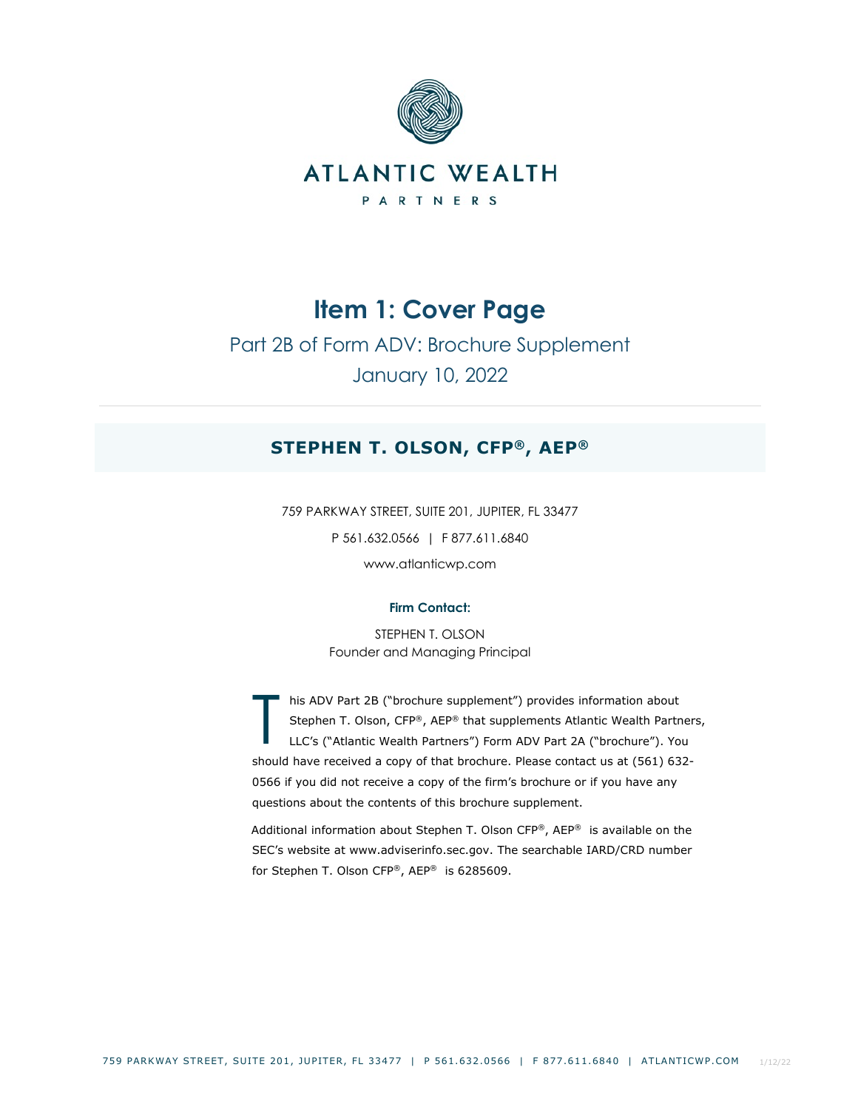

# Part 2B of Form ADV: Brochure Supplement January 10, 2022

# **STEPHEN T. OLSON, CFP®, AEP®**

759 PARKWAY STREET, SUITE 201, JUPITER, FL 33477 P 561.632.0566 | F 877.611.6840 www.atlanticwp.com

# **Firm Contact:**

STEPHEN T. OLSON Founder and Managing Principal

his ADV Part 2B ("brochure supplement") provides information about Stephen T. Olson, CFP®, AEP® that supplements Atlantic Wealth Partners, LLC's ("Atlantic Wealth Partners") Form ADV Part 2A ("brochure"). You should have received a copy of that brochure. Please contact us at (561) 632- 0566 if you did not receive a copy of the firm's brochure or if you have any questions about the contents of this brochure supplement. T

Additional information about Stephen T. Olson CFP®, AEP® is available on the SEC's website at www.adviserinfo.sec.gov. The searchable IARD/CRD number for Stephen T. Olson CFP®, AEP® is 6285609.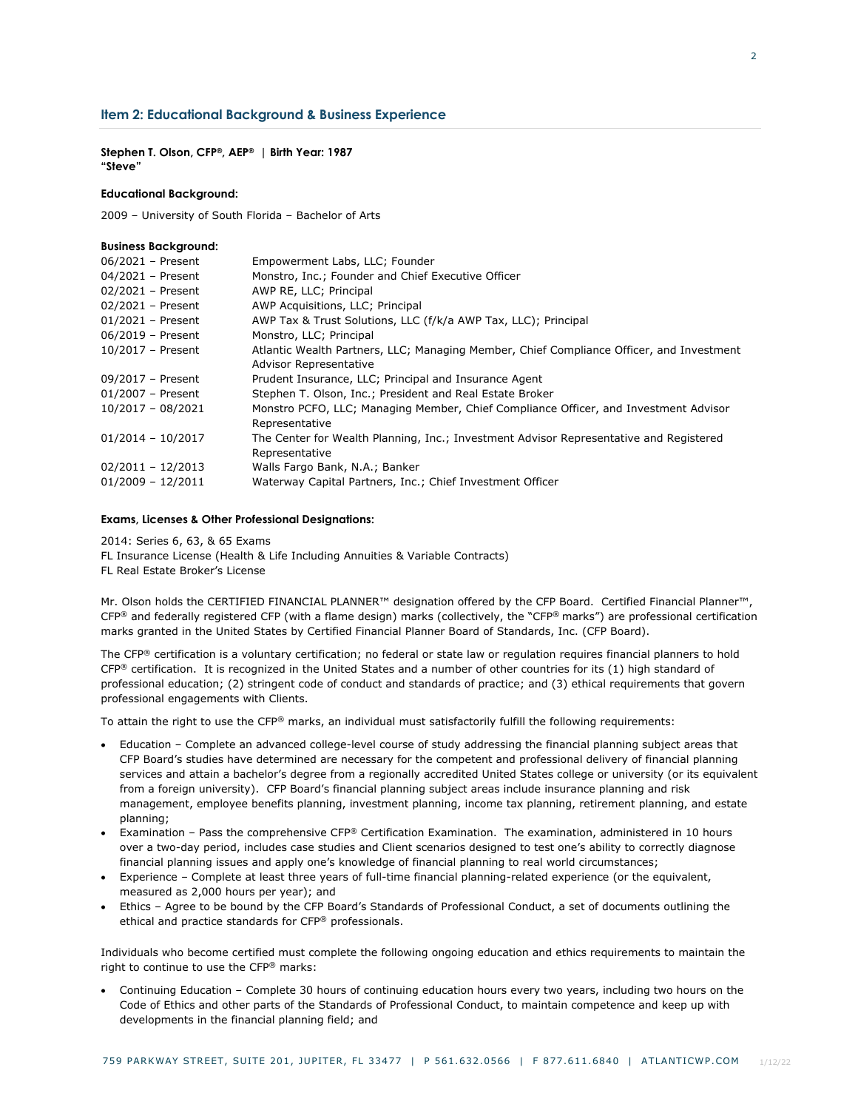## **Item 2: Educational Background & Business Experience**

**Stephen T. Olson, CFP®, AEP® | Birth Year: 1987 "Steve"** 

### **Educational Background:**

**Business Background:**

2009 – University of South Florida – Bachelor of Arts

| <b>DUSINESS DUCKGROUND.</b> |                                                                                          |
|-----------------------------|------------------------------------------------------------------------------------------|
| 06/2021 - Present           | Empowerment Labs, LLC; Founder                                                           |
| 04/2021 - Present           | Monstro, Inc.; Founder and Chief Executive Officer                                       |
| 02/2021 - Present           | AWP RE, LLC; Principal                                                                   |
| 02/2021 - Present           | AWP Acquisitions, LLC; Principal                                                         |
| $01/2021$ - Present         | AWP Tax & Trust Solutions, LLC (f/k/a AWP Tax, LLC); Principal                           |
| 06/2019 - Present           | Monstro, LLC; Principal                                                                  |
| $10/2017$ - Present         | Atlantic Wealth Partners, LLC; Managing Member, Chief Compliance Officer, and Investment |
|                             | <b>Advisor Representative</b>                                                            |
| 09/2017 - Present           | Prudent Insurance, LLC; Principal and Insurance Agent                                    |
| $01/2007$ - Present         | Stephen T. Olson, Inc.; President and Real Estate Broker                                 |
| $10/2017 - 08/2021$         | Monstro PCFO, LLC; Managing Member, Chief Compliance Officer, and Investment Advisor     |
|                             | Representative                                                                           |
| $01/2014 - 10/2017$         | The Center for Wealth Planning, Inc.; Investment Advisor Representative and Registered   |
|                             | Representative                                                                           |
| $02/2011 - 12/2013$         | Walls Fargo Bank, N.A.; Banker                                                           |
| $01/2009 - 12/2011$         | Waterway Capital Partners, Inc.; Chief Investment Officer                                |
|                             |                                                                                          |

### **Exams, Licenses & Other Professional Designations:**

2014: Series 6, 63, & 65 Exams

FL Insurance License (Health & Life Including Annuities & Variable Contracts) FL Real Estate Broker's License

Mr. Olson holds the CERTIFIED FINANCIAL PLANNER™ designation offered by the CFP Board. Certified Financial Planner™,  $CFP^®$  and federally registered CFP (with a flame design) marks (collectively, the "CFP® marks") are professional certification marks granted in the United States by Certified Financial Planner Board of Standards, Inc. (CFP Board).

The CFP® certification is a voluntary certification; no federal or state law or regulation requires financial planners to hold  $CFP<sup>®</sup>$  certification. It is recognized in the United States and a number of other countries for its (1) high standard of professional education; (2) stringent code of conduct and standards of practice; and (3) ethical requirements that govern professional engagements with Clients.

To attain the right to use the CFP® marks, an individual must satisfactorily fulfill the following requirements:

- Education Complete an advanced college-level course of study addressing the financial planning subject areas that CFP Board's studies have determined are necessary for the competent and professional delivery of financial planning services and attain a bachelor's degree from a regionally accredited United States college or university (or its equivalent from a foreign university). CFP Board's financial planning subject areas include insurance planning and risk management, employee benefits planning, investment planning, income tax planning, retirement planning, and estate planning;
- Examination Pass the comprehensive CFP® Certification Examination. The examination, administered in 10 hours over a two-day period, includes case studies and Client scenarios designed to test one's ability to correctly diagnose financial planning issues and apply one's knowledge of financial planning to real world circumstances;
- Experience Complete at least three years of full-time financial planning-related experience (or the equivalent, measured as 2,000 hours per year); and
- Ethics Agree to be bound by the CFP Board's Standards of Professional Conduct, a set of documents outlining the ethical and practice standards for CFP® professionals.

Individuals who become certified must complete the following ongoing education and ethics requirements to maintain the right to continue to use the CFP® marks:

• Continuing Education – Complete 30 hours of continuing education hours every two years, including two hours on the Code of Ethics and other parts of the Standards of Professional Conduct, to maintain competence and keep up with developments in the financial planning field; and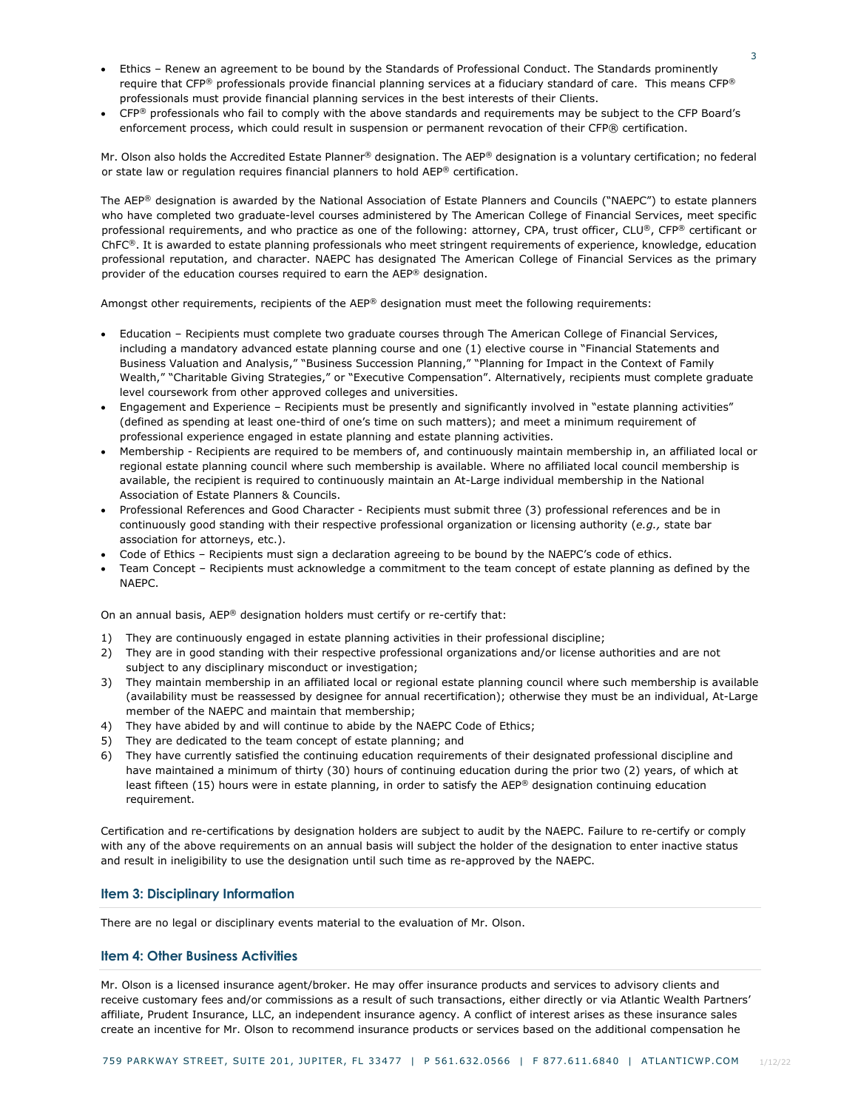- Ethics Renew an agreement to be bound by the Standards of Professional Conduct. The Standards prominently require that CFP® professionals provide financial planning services at a fiduciary standard of care. This means CFP® professionals must provide financial planning services in the best interests of their Clients.
- CFP<sup>®</sup> professionals who fail to comply with the above standards and requirements may be subject to the CFP Board's enforcement process, which could result in suspension or permanent revocation of their CFP® certification.

Mr. Olson also holds the Accredited Estate Planner® designation. The AEP® designation is a voluntary certification; no federal or state law or regulation requires financial planners to hold AEP® certification.

The AEP® designation is awarded by the National Association of Estate Planners and Councils ("NAEPC") to estate planners who have completed two graduate-level courses administered by The American College of Financial Services, meet specific professional requirements, and who practice as one of the following: attorney, CPA, trust officer, CLU®, CFP® certificant or ChFC®. It is awarded to estate planning professionals who meet stringent requirements of experience, knowledge, education professional reputation, and character. NAEPC has designated The American College of Financial Services as the primary provider of the education courses required to earn the AEP® designation.

Amongst other requirements, recipients of the AEP® designation must meet the following requirements:

- Education Recipients must complete two graduate courses through The American College of Financial Services, including a mandatory advanced estate planning course and one (1) elective course in "Financial Statements and Business Valuation and Analysis," "Business Succession Planning," "Planning for Impact in the Context of Family Wealth," "Charitable Giving Strategies," or "Executive Compensation". Alternatively, recipients must complete graduate level coursework from other approved colleges and universities.
- Engagement and Experience Recipients must be presently and significantly involved in "estate planning activities" (defined as spending at least one-third of one's time on such matters); and meet a minimum requirement of professional experience engaged in estate planning and estate planning activities.
- Membership Recipients are required to be members of, and continuously maintain membership in, an affiliated local or regional estate planning council where such membership is available. Where no affiliated local council membership is available, the recipient is required to continuously maintain an At-Large individual membership in the National Association of Estate Planners & Councils.
- Professional References and Good Character Recipients must submit three (3) professional references and be in continuously good standing with their respective professional organization or licensing authority (*e.g.,* state bar association for attorneys, etc.).
- Code of Ethics Recipients must sign a declaration agreeing to be bound by the NAEPC's code of ethics.
- Team Concept Recipients must acknowledge a commitment to the team concept of estate planning as defined by the NAEPC.

On an annual basis, AEP® designation holders must certify or re-certify that:

- 1) They are continuously engaged in estate planning activities in their professional discipline;
- 2) They are in good standing with their respective professional organizations and/or license authorities and are not subject to any disciplinary misconduct or investigation;
- 3) They maintain membership in an affiliated local or regional estate planning council where such membership is available (availability must be reassessed by designee for annual recertification); otherwise they must be an individual, At-Large member of the NAEPC and maintain that membership;
- 4) They have abided by and will continue to abide by the NAEPC Code of Ethics;
- 5) They are dedicated to the team concept of estate planning; and
- 6) They have currently satisfied the continuing education requirements of their designated professional discipline and have maintained a minimum of thirty (30) hours of continuing education during the prior two (2) years, of which at least fifteen (15) hours were in estate planning, in order to satisfy the AEP® designation continuing education requirement.

Certification and re-certifications by designation holders are subject to audit by the NAEPC. Failure to re-certify or comply with any of the above requirements on an annual basis will subject the holder of the designation to enter inactive status and result in ineligibility to use the designation until such time as re-approved by the NAEPC.

## **Item 3: Disciplinary Information**

There are no legal or disciplinary events material to the evaluation of Mr. Olson.

# **Item 4: Other Business Activities**

Mr. Olson is a licensed insurance agent/broker. He may offer insurance products and services to advisory clients and receive customary fees and/or commissions as a result of such transactions, either directly or via Atlantic Wealth Partners' affiliate, Prudent Insurance, LLC, an independent insurance agency. A conflict of interest arises as these insurance sales create an incentive for Mr. Olson to recommend insurance products or services based on the additional compensation he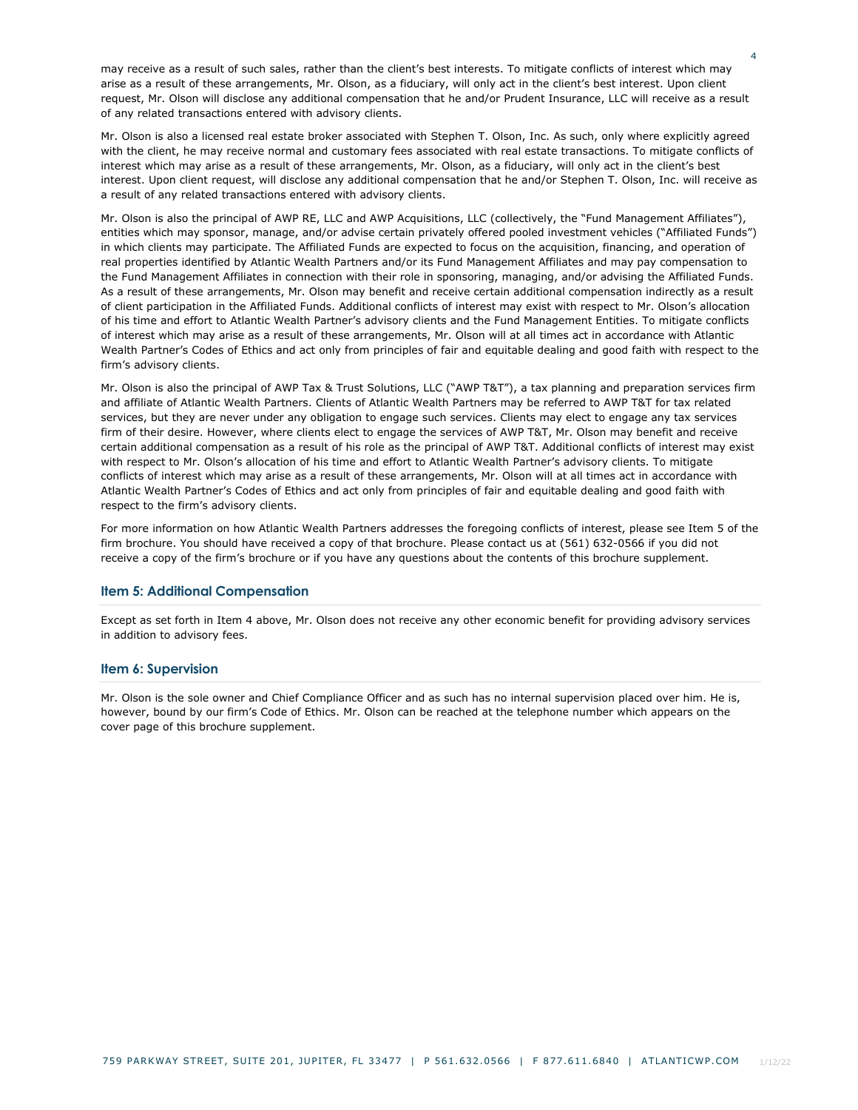may receive as a result of such sales, rather than the client's best interests. To mitigate conflicts of interest which may arise as a result of these arrangements, Mr. Olson, as a fiduciary, will only act in the client's best interest. Upon client request, Mr. Olson will disclose any additional compensation that he and/or Prudent Insurance, LLC will receive as a result of any related transactions entered with advisory clients.

Mr. Olson is also a licensed real estate broker associated with Stephen T. Olson, Inc. As such, only where explicitly agreed with the client, he may receive normal and customary fees associated with real estate transactions. To mitigate conflicts of interest which may arise as a result of these arrangements, Mr. Olson, as a fiduciary, will only act in the client's best interest. Upon client request, will disclose any additional compensation that he and/or Stephen T. Olson, Inc. will receive as a result of any related transactions entered with advisory clients.

Mr. Olson is also the principal of AWP RE, LLC and AWP Acquisitions, LLC (collectively, the "Fund Management Affiliates"), entities which may sponsor, manage, and/or advise certain privately offered pooled investment vehicles ("Affiliated Funds") in which clients may participate. The Affiliated Funds are expected to focus on the acquisition, financing, and operation of real properties identified by Atlantic Wealth Partners and/or its Fund Management Affiliates and may pay compensation to the Fund Management Affiliates in connection with their role in sponsoring, managing, and/or advising the Affiliated Funds. As a result of these arrangements, Mr. Olson may benefit and receive certain additional compensation indirectly as a result of client participation in the Affiliated Funds. Additional conflicts of interest may exist with respect to Mr. Olson's allocation of his time and effort to Atlantic Wealth Partner's advisory clients and the Fund Management Entities. To mitigate conflicts of interest which may arise as a result of these arrangements, Mr. Olson will at all times act in accordance with Atlantic Wealth Partner's Codes of Ethics and act only from principles of fair and equitable dealing and good faith with respect to the firm's advisory clients.

Mr. Olson is also the principal of AWP Tax & Trust Solutions, LLC ("AWP T&T"), a tax planning and preparation services firm and affiliate of Atlantic Wealth Partners. Clients of Atlantic Wealth Partners may be referred to AWP T&T for tax related services, but they are never under any obligation to engage such services. Clients may elect to engage any tax services firm of their desire. However, where clients elect to engage the services of AWP T&T, Mr. Olson may benefit and receive certain additional compensation as a result of his role as the principal of AWP T&T. Additional conflicts of interest may exist with respect to Mr. Olson's allocation of his time and effort to Atlantic Wealth Partner's advisory clients. To mitigate conflicts of interest which may arise as a result of these arrangements, Mr. Olson will at all times act in accordance with Atlantic Wealth Partner's Codes of Ethics and act only from principles of fair and equitable dealing and good faith with respect to the firm's advisory clients.

For more information on how Atlantic Wealth Partners addresses the foregoing conflicts of interest, please see Item 5 of the firm brochure. You should have received a copy of that brochure. Please contact us at (561) 632-0566 if you did not receive a copy of the firm's brochure or if you have any questions about the contents of this brochure supplement.

### **Item 5: Additional Compensation**

Except as set forth in Item 4 above, Mr. Olson does not receive any other economic benefit for providing advisory services in addition to advisory fees.

### **Item 6: Supervision**

Mr. Olson is the sole owner and Chief Compliance Officer and as such has no internal supervision placed over him. He is, however, bound by our firm's Code of Ethics. Mr. Olson can be reached at the telephone number which appears on the cover page of this brochure supplement.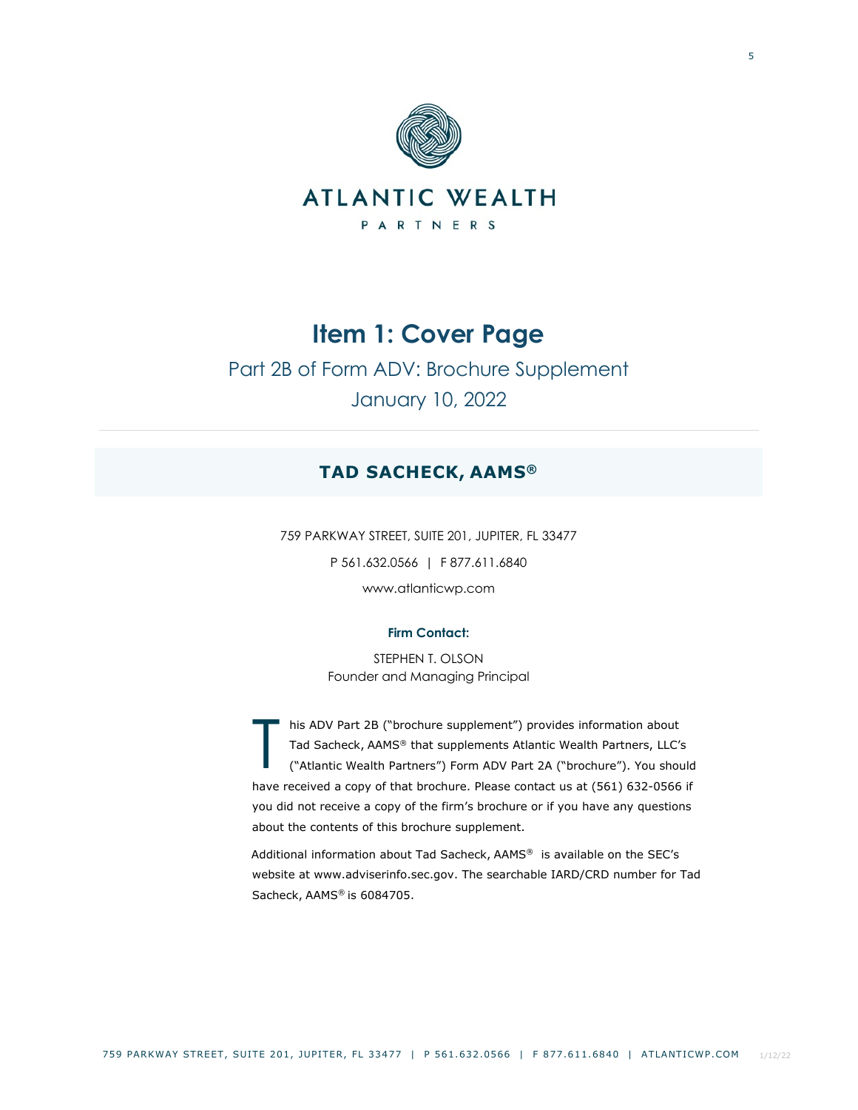

Part 2B of Form ADV: Brochure Supplement January 10, 2022

# **TAD SACHECK, AAMS®**

759 PARKWAY STREET, SUITE 201, JUPITER, FL 33477 P 561.632.0566 | F 877.611.6840 www.atlanticwp.com

# **Firm Contact:**

STEPHEN T. OLSON Founder and Managing Principal

his ADV Part 2B ("brochure supplement") provides information about Tad Sacheck, AAMS® that supplements Atlantic Wealth Partners, LLC's ("Atlantic Wealth Partners") Form ADV Part 2A ("brochure"). You should have received a copy of that brochure. Please contact us at (561) 632-0566 if you did not receive a copy of the firm's brochure or if you have any questions about the contents of this brochure supplement. T

Additional information about Tad Sacheck, AAMS® is available on the SEC's website at www.adviserinfo.sec.gov. The searchable IARD/CRD number for Tad Sacheck, AAMS® is 6084705.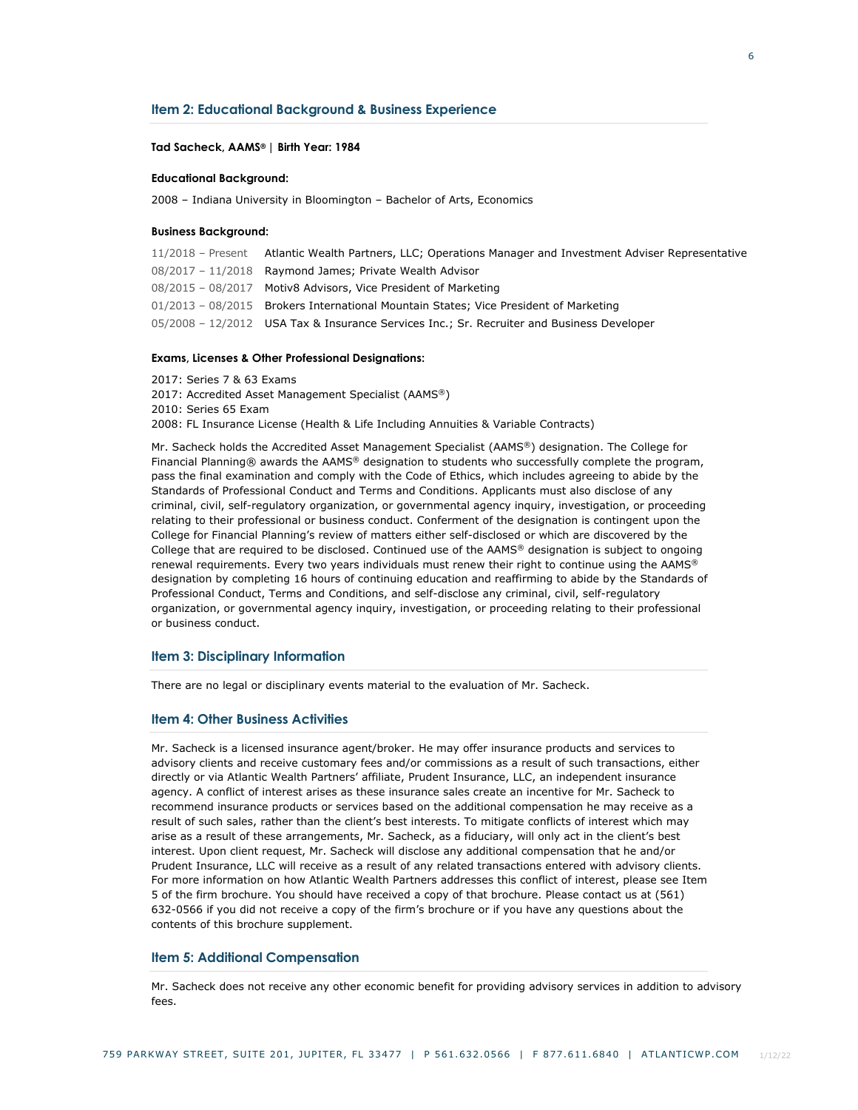### **Item 2: Educational Background & Business Experience**

### **Tad Sacheck, AAMS® | Birth Year: 1984**

### **Educational Background:**

2008 – Indiana University in Bloomington – Bachelor of Arts, Economics

#### **Business Background:**

| 11/2018 – Present Atlantic Wealth Partners, LLC; Operations Manager and Investment Adviser Representative |
|-----------------------------------------------------------------------------------------------------------|
| 08/2017 - 11/2018 Raymond James; Private Wealth Advisor                                                   |
| 08/2015 - 08/2017 Motiv8 Advisors, Vice President of Marketing                                            |
| 01/2013 - 08/2015 Brokers International Mountain States; Vice President of Marketing                      |
| 05/2008 - 12/2012 USA Tax & Insurance Services Inc.; Sr. Recruiter and Business Developer                 |

### **Exams, Licenses & Other Professional Designations:**

2017: Series 7 & 63 Exams 2017: Accredited Asset Management Specialist (AAMS®) 2010: Series 65 Exam 2008: FL Insurance License (Health & Life Including Annuities & Variable Contracts)

Mr. Sacheck holds the Accredited Asset Management Specialist (AAMS®) designation. The College for Financial Planning® awards the AAMS® designation to students who successfully complete the program, pass the final examination and comply with the Code of Ethics, which includes agreeing to abide by the Standards of Professional Conduct and Terms and Conditions. Applicants must also disclose of any criminal, civil, self-regulatory organization, or governmental agency inquiry, investigation, or proceeding relating to their professional or business conduct. Conferment of the designation is contingent upon the College for Financial Planning's review of matters either self-disclosed or which are discovered by the College that are required to be disclosed. Continued use of the AAMS® designation is subject to ongoing renewal requirements. Every two years individuals must renew their right to continue using the AAMS® designation by completing 16 hours of continuing education and reaffirming to abide by the Standards of Professional Conduct, Terms and Conditions, and self-disclose any criminal, civil, self-regulatory organization, or governmental agency inquiry, investigation, or proceeding relating to their professional or business conduct.

### **Item 3: Disciplinary Information**

There are no legal or disciplinary events material to the evaluation of Mr. Sacheck.

# **Item 4: Other Business Activities**

Mr. Sacheck is a licensed insurance agent/broker. He may offer insurance products and services to advisory clients and receive customary fees and/or commissions as a result of such transactions, either directly or via Atlantic Wealth Partners' affiliate, Prudent Insurance, LLC, an independent insurance agency. A conflict of interest arises as these insurance sales create an incentive for Mr. Sacheck to recommend insurance products or services based on the additional compensation he may receive as a result of such sales, rather than the client's best interests. To mitigate conflicts of interest which may arise as a result of these arrangements, Mr. Sacheck, as a fiduciary, will only act in the client's best interest. Upon client request, Mr. Sacheck will disclose any additional compensation that he and/or Prudent Insurance, LLC will receive as a result of any related transactions entered with advisory clients. For more information on how Atlantic Wealth Partners addresses this conflict of interest, please see Item 5 of the firm brochure. You should have received a copy of that brochure. Please contact us at (561) 632-0566 if you did not receive a copy of the firm's brochure or if you have any questions about the contents of this brochure supplement.

### **Item 5: Additional Compensation**

Mr. Sacheck does not receive any other economic benefit for providing advisory services in addition to advisory  $f$  $a$  $c$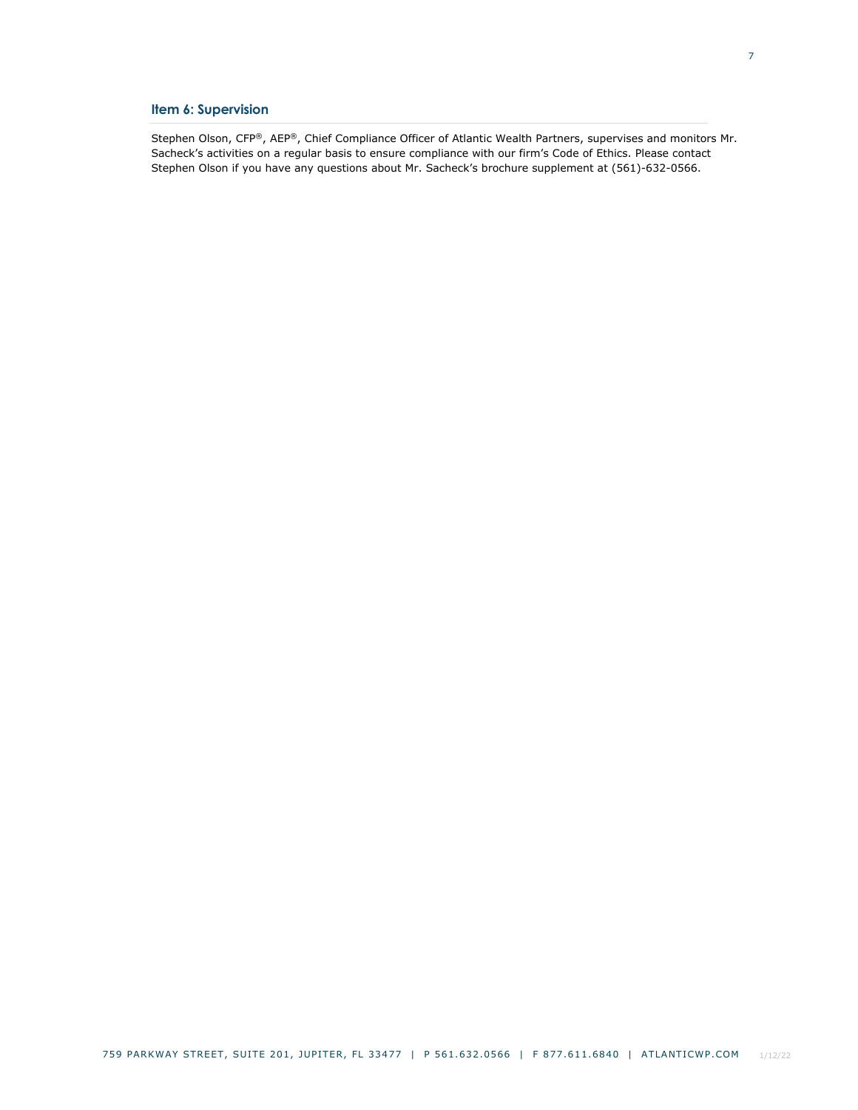# **Item 6: Supervision**

Stephen Olson, CFP®, AEP®, Chief Compliance Officer of Atlantic Wealth Partners, supervises and monitors Mr. Sacheck's activities on a regular basis to ensure compliance with our firm's Code of Ethics. Please contact Stephen Olson if you have any questions about Mr. Sacheck's brochure supplement at (561)-632-0566.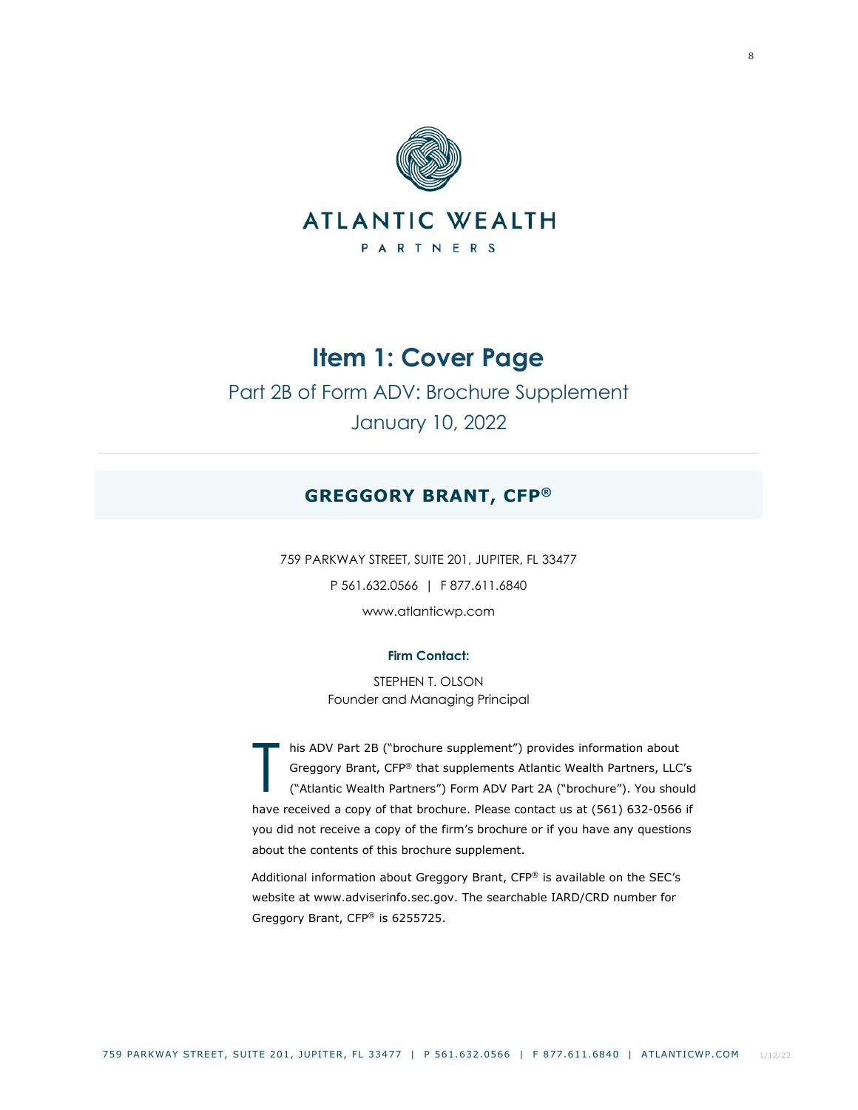

# Part 2B of Form ADV: Brochure Supplement January 10, 2022

# **GREGGORY BRANT, CFP®**

759 PARKWAY STREET, SUITE 201, JUPITER, FL 33477 P 561.632.0566 | F 877.611.6840 www.atlanticwp.com

# **Firm Contact:**

STEPHEN T. OLSON Founder and Managing Principal

his ADV Part 2B ("brochure supplement") provides information about Greggory Brant, CFP® that supplements Atlantic Wealth Partners, LLC's ("Atlantic Wealth Partners") Form ADV Part 2A ("brochure"). You should have received a copy of that brochure. Please contact us at (561) 632-0566 if you did not receive a copy of the firm's brochure or if you have any questions about the contents of this brochure supplement. T

Additional information about Greggory Brant, CFP® is available on the SEC's website at www.adviserinfo.sec.gov. The searchable IARD/CRD number for Greggory Brant, CFP® is 6255725.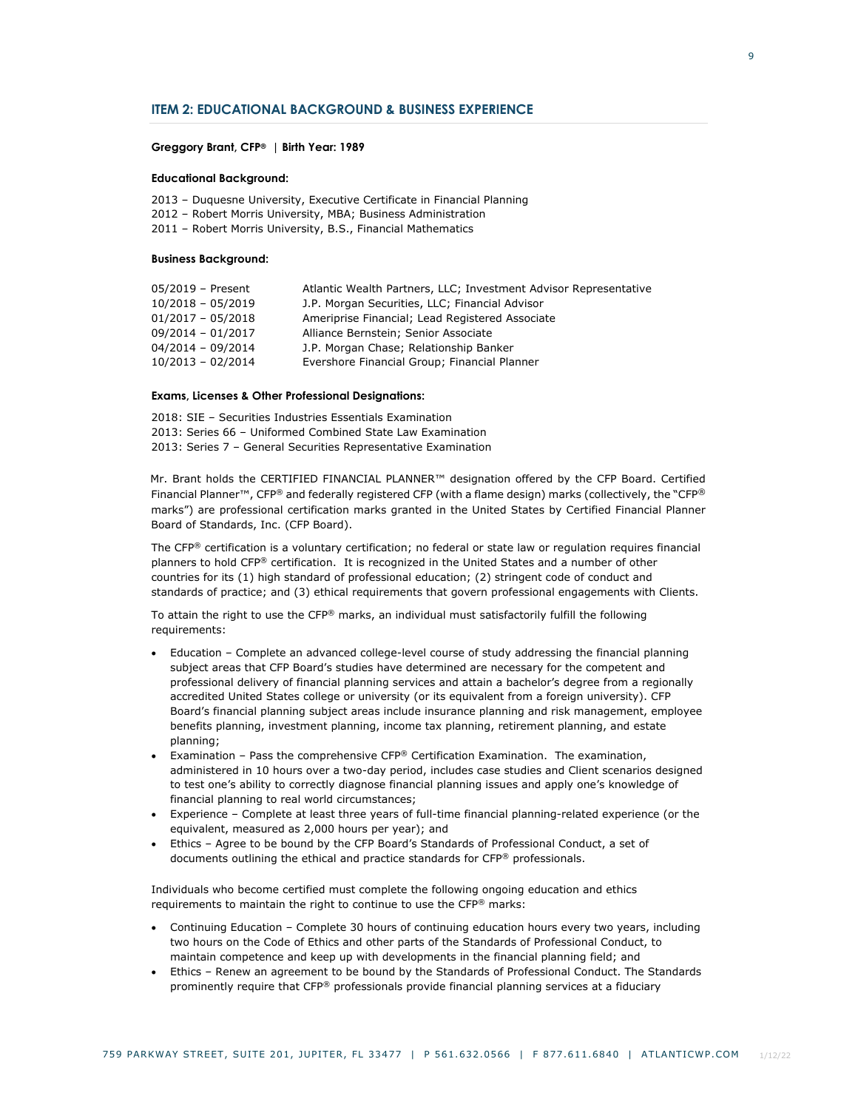### **ITEM 2: EDUCATIONAL BACKGROUND & BUSINESS EXPERIENCE**

### **Greggory Brant, CFP® | Birth Year: 1989**

### **Educational Background:**

- 2013 Duquesne University, Executive Certificate in Financial Planning
- 2012 Robert Morris University, MBA; Business Administration
- 2011 Robert Morris University, B.S., Financial Mathematics

### **Business Background:**

| 05/2019 - Present   | Atlantic Wealth Partners, LLC; Investment Advisor Representative |
|---------------------|------------------------------------------------------------------|
| $10/2018 - 05/2019$ | J.P. Morgan Securities, LLC; Financial Advisor                   |
| $01/2017 - 05/2018$ | Ameriprise Financial; Lead Registered Associate                  |
| 09/2014 - 01/2017   | Alliance Bernstein; Senior Associate                             |
| $04/2014 - 09/2014$ | J.P. Morgan Chase; Relationship Banker                           |
| $10/2013 - 02/2014$ | Evershore Financial Group; Financial Planner                     |

### **Exams, Licenses & Other Professional Designations:**

2018: SIE – Securities Industries Essentials Examination 2013: Series 66 – Uniformed Combined State Law Examination 2013: Series 7 – General Securities Representative Examination

Mr. Brant holds the CERTIFIED FINANCIAL PLANNER™ designation offered by the CFP Board. Certified Financial Planner™, CFP® and federally registered CFP (with a flame design) marks (collectively, the "CFP® marks") are professional certification marks granted in the United States by Certified Financial Planner Board of Standards, Inc. (CFP Board).

The CFP® certification is a voluntary certification; no federal or state law or regulation requires financial planners to hold CFP® certification. It is recognized in the United States and a number of other countries for its (1) high standard of professional education; (2) stringent code of conduct and standards of practice; and (3) ethical requirements that govern professional engagements with Clients.

To attain the right to use the CFP® marks, an individual must satisfactorily fulfill the following requirements:

- Education Complete an advanced college-level course of study addressing the financial planning subject areas that CFP Board's studies have determined are necessary for the competent and professional delivery of financial planning services and attain a bachelor's degree from a regionally accredited United States college or university (or its equivalent from a foreign university). CFP Board's financial planning subject areas include insurance planning and risk management, employee benefits planning, investment planning, income tax planning, retirement planning, and estate planning;
- Examination Pass the comprehensive CFP® Certification Examination. The examination, administered in 10 hours over a two-day period, includes case studies and Client scenarios designed to test one's ability to correctly diagnose financial planning issues and apply one's knowledge of financial planning to real world circumstances;
- Experience Complete at least three years of full-time financial planning-related experience (or the equivalent, measured as 2,000 hours per year); and
- Ethics Agree to be bound by the CFP Board's Standards of Professional Conduct, a set of documents outlining the ethical and practice standards for CFP® professionals.

Individuals who become certified must complete the following ongoing education and ethics requirements to maintain the right to continue to use the CFP® marks:

- Continuing Education Complete 30 hours of continuing education hours every two years, including two hours on the Code of Ethics and other parts of the Standards of Professional Conduct, to maintain competence and keep up with developments in the financial planning field; and
- Ethics Renew an agreement to be bound by the Standards of Professional Conduct. The Standards prominently require that CFP® professionals provide financial planning services at a fiduciary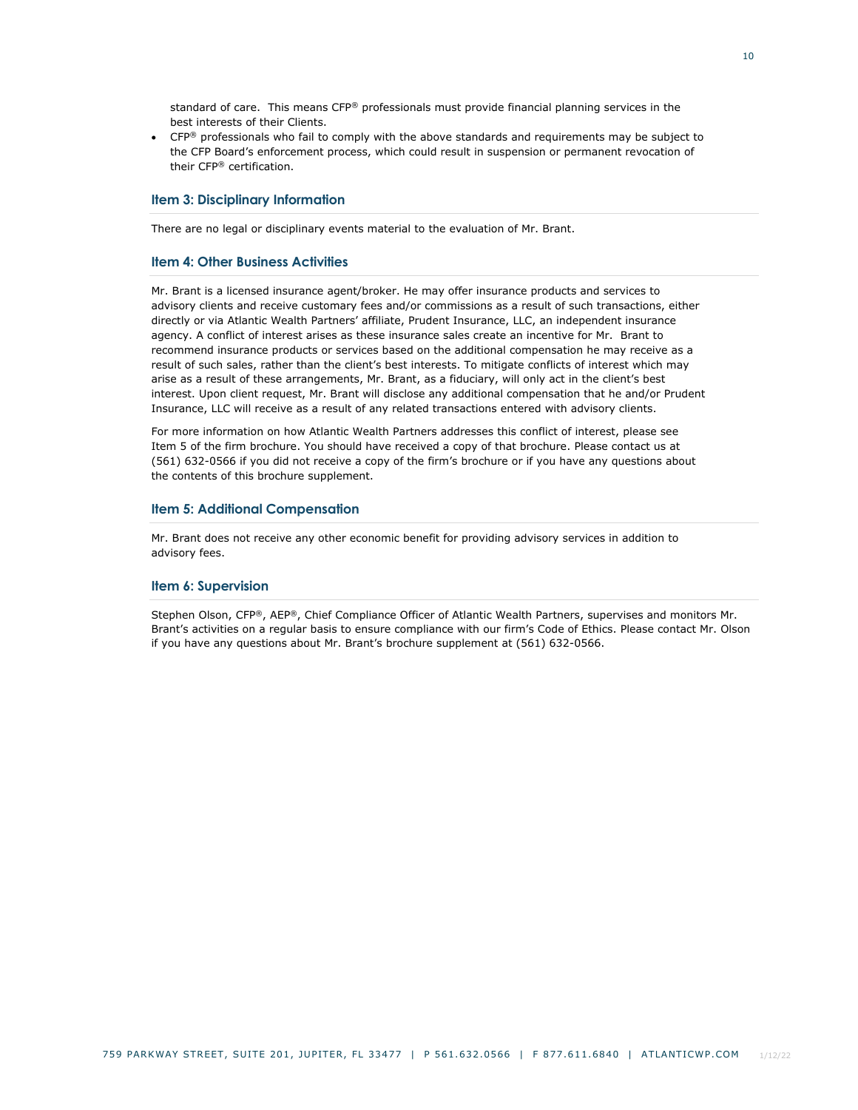standard of care. This means CFP® professionals must provide financial planning services in the best interests of their Clients.

• CFP<sup>®</sup> professionals who fail to comply with the above standards and requirements may be subject to the CFP Board's enforcement process, which could result in suspension or permanent revocation of their CFP® certification.

# **Item 3: Disciplinary Information**

There are no legal or disciplinary events material to the evaluation of Mr. Brant.

### **Item 4: Other Business Activities**

Mr. Brant is a licensed insurance agent/broker. He may offer insurance products and services to advisory clients and receive customary fees and/or commissions as a result of such transactions, either directly or via Atlantic Wealth Partners' affiliate, Prudent Insurance, LLC, an independent insurance agency. A conflict of interest arises as these insurance sales create an incentive for Mr. Brant to recommend insurance products or services based on the additional compensation he may receive as a result of such sales, rather than the client's best interests. To mitigate conflicts of interest which may arise as a result of these arrangements, Mr. Brant, as a fiduciary, will only act in the client's best interest. Upon client request, Mr. Brant will disclose any additional compensation that he and/or Prudent Insurance, LLC will receive as a result of any related transactions entered with advisory clients.

For more information on how Atlantic Wealth Partners addresses this conflict of interest, please see Item 5 of the firm brochure. You should have received a copy of that brochure. Please contact us at (561) 632-0566 if you did not receive a copy of the firm's brochure or if you have any questions about the contents of this brochure supplement.

### **Item 5: Additional Compensation**

Mr. Brant does not receive any other economic benefit for providing advisory services in addition to advisory fees.

### **Item 6: Supervision**

Stephen Olson, CFP®, AEP®, Chief Compliance Officer of Atlantic Wealth Partners, supervises and monitors Mr. Brant's activities on a regular basis to ensure compliance with our firm's Code of Ethics. Please contact Mr. Olson if you have any questions about Mr. Brant's brochure supplement at (561) 632-0566.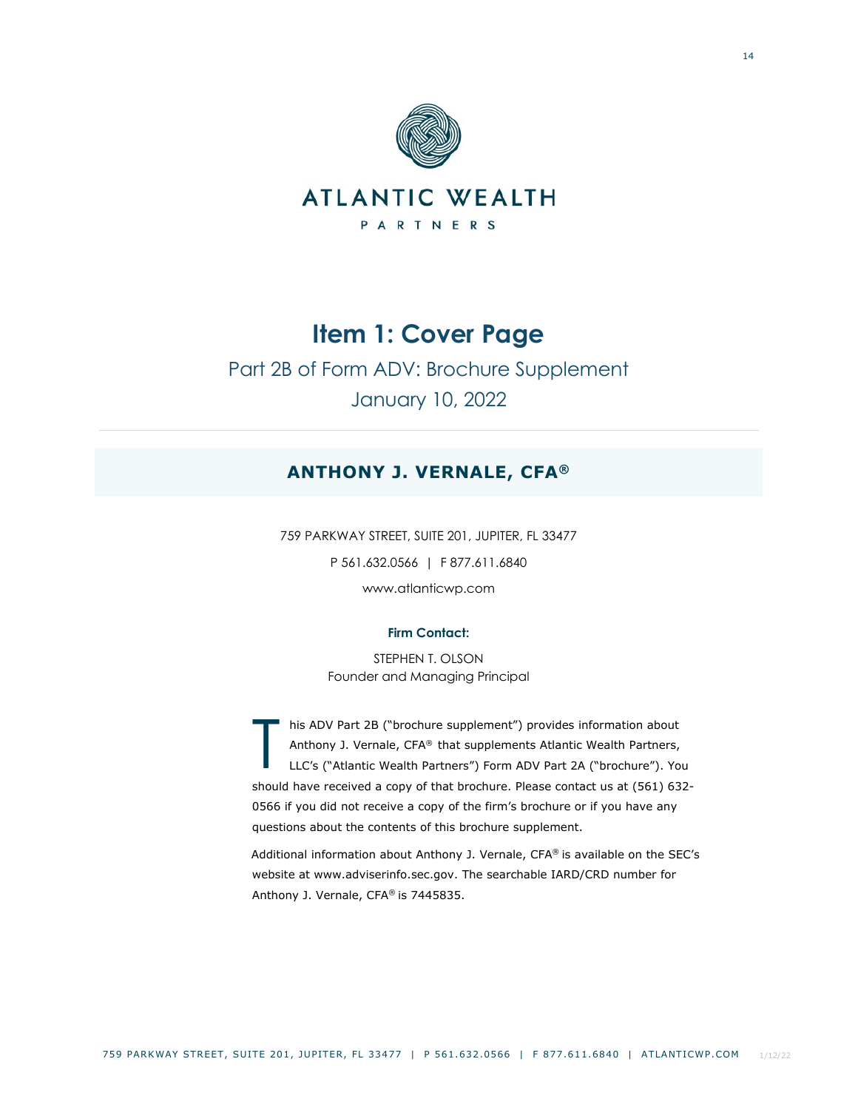

Part 2B of Form ADV: Brochure Supplement January 10, 2022

# **ANTHONY J. VERNALE, CFA®**

759 PARKWAY STREET, SUITE 201, JUPITER, FL 33477 P 561.632.0566 | F 877.611.6840 www.atlanticwp.com

# **Firm Contact:**

STEPHEN T. OLSON Founder and Managing Principal

his ADV Part 2B ("brochure supplement") provides information about Anthony J. Vernale, CFA® that supplements Atlantic Wealth Partners, LLC's ("Atlantic Wealth Partners") Form ADV Part 2A ("brochure"). You should have received a copy of that brochure. Please contact us at (561) 632- 0566 if you did not receive a copy of the firm's brochure or if you have any questions about the contents of this brochure supplement. T

Additional information about Anthony J. Vernale, CFA® is available on the SEC's website at www.adviserinfo.sec.gov. The searchable IARD/CRD number for Anthony J. Vernale, CFA® is 7445835.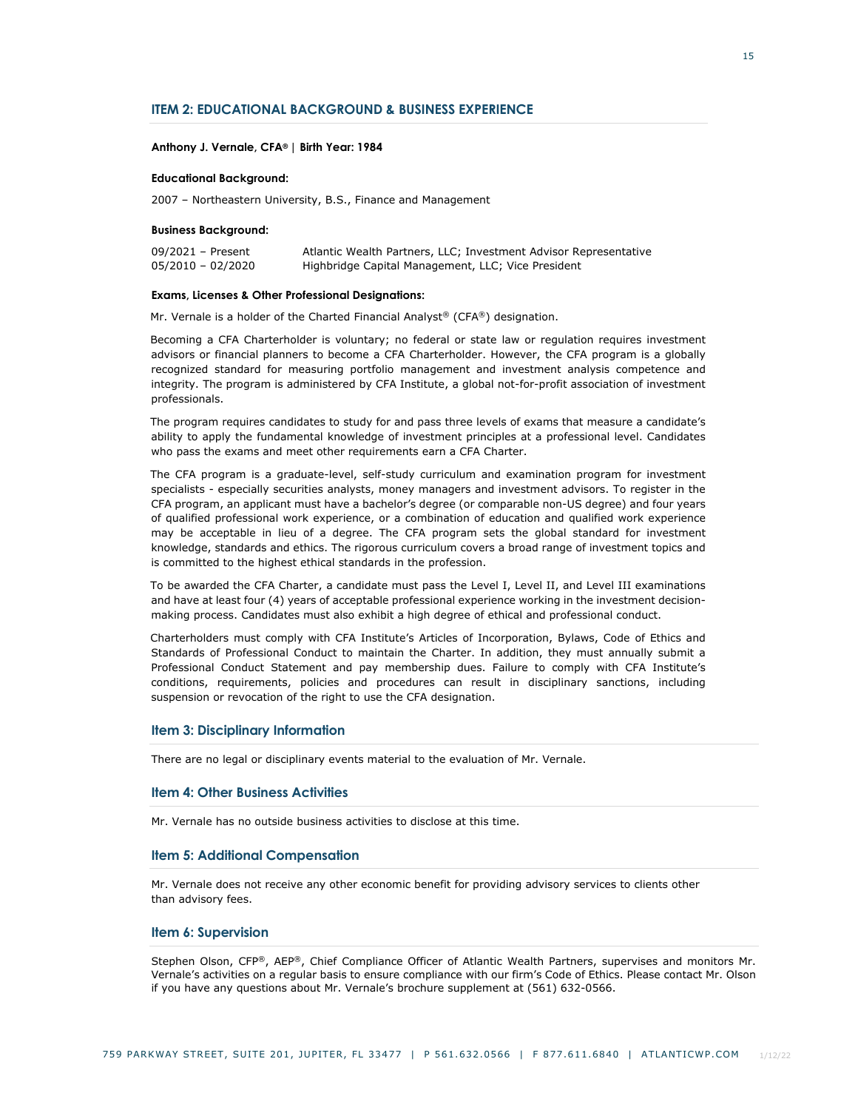### **ITEM 2: EDUCATIONAL BACKGROUND & BUSINESS EXPERIENCE**

### **Anthony J. Vernale, CFA® | Birth Year: 1984**

### **Educational Background:**

2007 – Northeastern University, B.S., Finance and Management

### **Business Background:**

| 09/2021 - Present   | Atlantic Wealth Partners, LLC; Investment Advisor Representative |
|---------------------|------------------------------------------------------------------|
| $05/2010 - 02/2020$ | Highbridge Capital Management, LLC; Vice President               |

#### **Exams, Licenses & Other Professional Designations:**

Mr. Vernale is a holder of the Charted Financial Analyst® (CFA®) designation.

Becoming a CFA Charterholder is voluntary; no federal or state law or regulation requires investment advisors or financial planners to become a CFA Charterholder. However, the CFA program is a globally recognized standard for measuring portfolio management and investment analysis competence and integrity. The program is administered by CFA Institute, a global not-for-profit association of investment professionals.

The program requires candidates to study for and pass three levels of exams that measure a candidate's ability to apply the fundamental knowledge of investment principles at a professional level. Candidates who pass the exams and meet other requirements earn a CFA Charter.

The CFA program is a graduate-level, self-study curriculum and examination program for investment specialists - especially securities analysts, money managers and investment advisors. To register in the CFA program, an applicant must have a bachelor's degree (or comparable non-US degree) and four years of qualified professional work experience, or a combination of education and qualified work experience may be acceptable in lieu of a degree. The CFA program sets the global standard for investment knowledge, standards and ethics. The rigorous curriculum covers a broad range of investment topics and is committed to the highest ethical standards in the profession.

To be awarded the CFA Charter, a candidate must pass the Level I, Level II, and Level III examinations and have at least four (4) years of acceptable professional experience working in the investment decisionmaking process. Candidates must also exhibit a high degree of ethical and professional conduct.

Charterholders must comply with CFA Institute's Articles of Incorporation, Bylaws, Code of Ethics and Standards of Professional Conduct to maintain the Charter. In addition, they must annually submit a Professional Conduct Statement and pay membership dues. Failure to comply with CFA Institute's conditions, requirements, policies and procedures can result in disciplinary sanctions, including suspension or revocation of the right to use the CFA designation.

### **Item 3: Disciplinary Information**

There are no legal or disciplinary events material to the evaluation of Mr. Vernale.

## **Item 4: Other Business Activities**

Mr. Vernale has no outside business activities to disclose at this time.

### **Item 5: Additional Compensation**

Mr. Vernale does not receive any other economic benefit for providing advisory services to clients other than advisory fees.

### **Item 6: Supervision**

Stephen Olson, CFP®, AEP®, Chief Compliance Officer of Atlantic Wealth Partners, supervises and monitors Mr. Vernale's activities on a regular basis to ensure compliance with our firm's Code of Ethics. Please contact Mr. Olson if you have any questions about Mr. Vernale's brochure supplement at (561) 632-0566.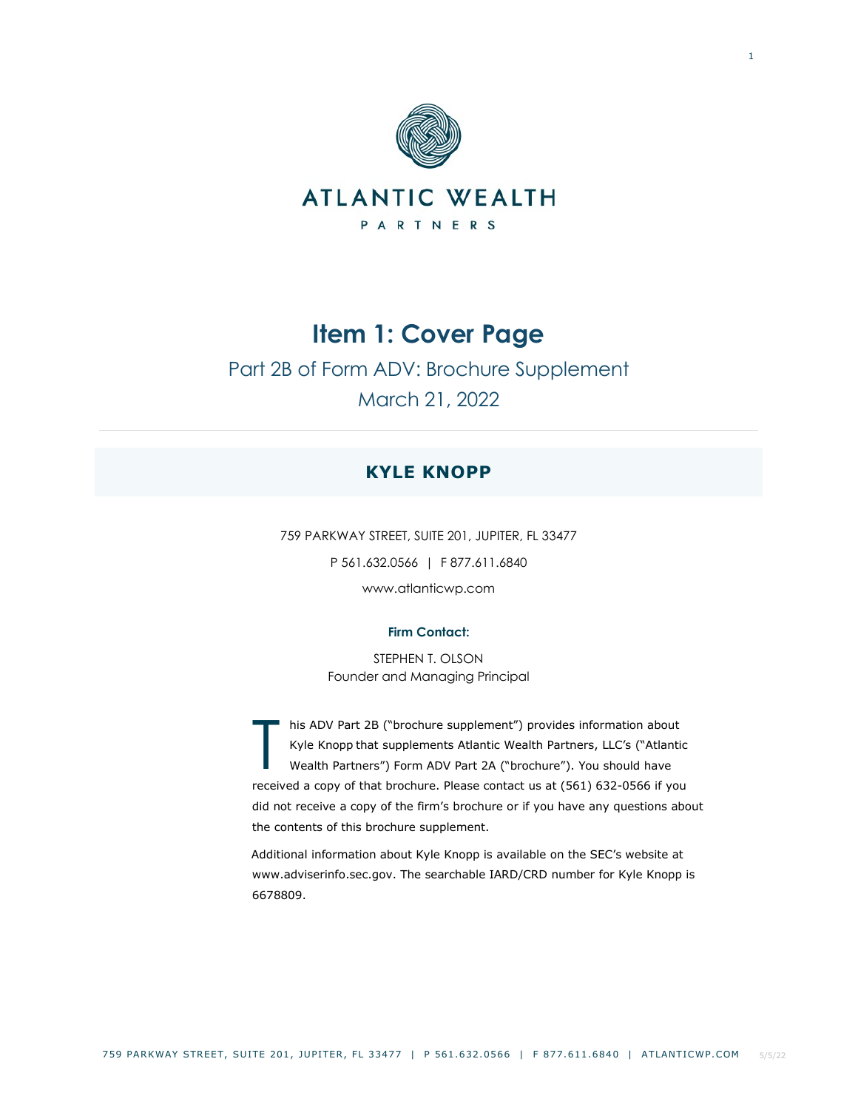

Part 2B of Form ADV: Brochure Supplement March 21, 2022

# **KYLE KNOPP**

759 PARKWAY STREET, SUITE 201, JUPITER, FL 33477 P 561.632.0566 | F 877.611.6840 www.atlanticwp.com

# **Firm Contact:**

STEPHEN T. OLSON Founder and Managing Principal

his ADV Part 2B ("brochure supplement") provides information about Kyle Knopp that supplements Atlantic Wealth Partners, LLC's ("Atlantic Wealth Partners") Form ADV Part 2A ("brochure"). You should have received a copy of that brochure. Please contact us at (561) 632-0566 if you did not receive a copy of the firm's brochure or if you have any questions about the contents of this brochure supplement. T

Additional information about Kyle Knopp is available on the SEC's website at www.adviserinfo.sec.gov. The searchable IARD/CRD number for Kyle Knopp is 6678809.